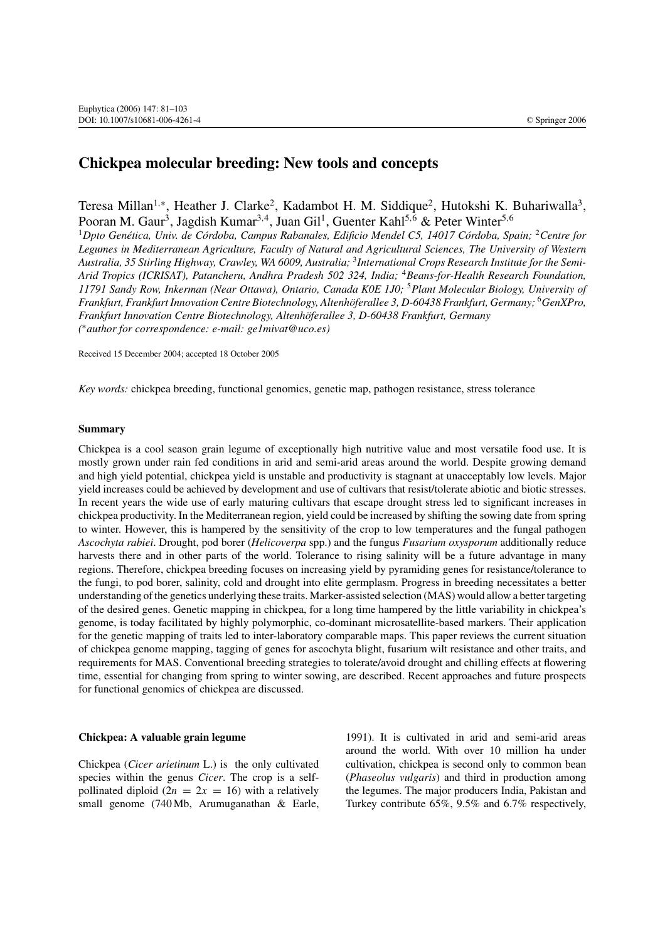# **Chickpea molecular breeding: New tools and concepts**

Teresa Millan<sup>1,∗</sup>, Heather J. Clarke<sup>2</sup>, Kadambot H. M. Siddique<sup>2</sup>, Hutokshi K. Buhariwalla<sup>3</sup>, Pooran M. Gaur<sup>3</sup>, Jagdish Kumar<sup>3,4</sup>, Juan Gil<sup>1</sup>, Guenter Kahl<sup>5,6</sup> & Peter Winter<sup>5,6</sup> <sup>1</sup>*Dpto Genetica, Univ. de C ´ ordoba, Campus Rabanales, Edificio Mendel C5, 14017 C ´ ordoba, Spain; ´* <sup>2</sup>*Centre for Legumes in Mediterranean Agriculture, Faculty of Natural and Agricultural Sciences, The University of Western Australia, 35 Stirling Highway, Crawley, WA 6009, Australia;* <sup>3</sup>*International Crops Research Institute for the Semi-Arid Tropics (ICRISAT), Patancheru, Andhra Pradesh 502 324, India;* <sup>4</sup>*Beans-for-Health Research Foundation, 11791 Sandy Row, Inkerman (Near Ottawa), Ontario, Canada K0E 1J0;* <sup>5</sup>*Plant Molecular Biology, University of Frankfurt, Frankfurt Innovation Centre Biotechnology, Altenhoferallee 3, D-60438 Frankfurt, Germany; ¨* <sup>6</sup>*GenXPro, Frankfurt Innovation Centre Biotechnology, Altenhoferallee 3, D-60438 Frankfurt, Germany ¨ (* <sup>∗</sup>*author for correspondence: e-mail: ge1mivat@uco.es)*

Received 15 December 2004; accepted 18 October 2005

*Key words:* chickpea breeding, functional genomics, genetic map, pathogen resistance, stress tolerance

### **Summary**

Chickpea is a cool season grain legume of exceptionally high nutritive value and most versatile food use. It is mostly grown under rain fed conditions in arid and semi-arid areas around the world. Despite growing demand and high yield potential, chickpea yield is unstable and productivity is stagnant at unacceptably low levels. Major yield increases could be achieved by development and use of cultivars that resist/tolerate abiotic and biotic stresses. In recent years the wide use of early maturing cultivars that escape drought stress led to significant increases in chickpea productivity. In the Mediterranean region, yield could be increased by shifting the sowing date from spring to winter. However, this is hampered by the sensitivity of the crop to low temperatures and the fungal pathogen *Ascochyta rabiei*. Drought, pod borer (*Helicoverpa* spp.) and the fungus *Fusarium oxysporum* additionally reduce harvests there and in other parts of the world. Tolerance to rising salinity will be a future advantage in many regions. Therefore, chickpea breeding focuses on increasing yield by pyramiding genes for resistance/tolerance to the fungi, to pod borer, salinity, cold and drought into elite germplasm. Progress in breeding necessitates a better understanding of the genetics underlying these traits. Marker-assisted selection (MAS) would allow a better targeting of the desired genes. Genetic mapping in chickpea, for a long time hampered by the little variability in chickpea's genome, is today facilitated by highly polymorphic, co-dominant microsatellite-based markers. Their application for the genetic mapping of traits led to inter-laboratory comparable maps. This paper reviews the current situation of chickpea genome mapping, tagging of genes for ascochyta blight, fusarium wilt resistance and other traits, and requirements for MAS. Conventional breeding strategies to tolerate/avoid drought and chilling effects at flowering time, essential for changing from spring to winter sowing, are described. Recent approaches and future prospects for functional genomics of chickpea are discussed.

#### **Chickpea: A valuable grain legume**

Chickpea (*Cicer arietinum* L.) is the only cultivated species within the genus *Cicer*. The crop is a selfpollinated diploid  $(2n = 2x = 16)$  with a relatively small genome (740 Mb, Arumuganathan & Earle,

1991). It is cultivated in arid and semi-arid areas around the world. With over 10 million ha under cultivation, chickpea is second only to common bean (*Phaseolus vulgaris*) and third in production among the legumes. The major producers India, Pakistan and Turkey contribute 65%, 9.5% and 6.7% respectively,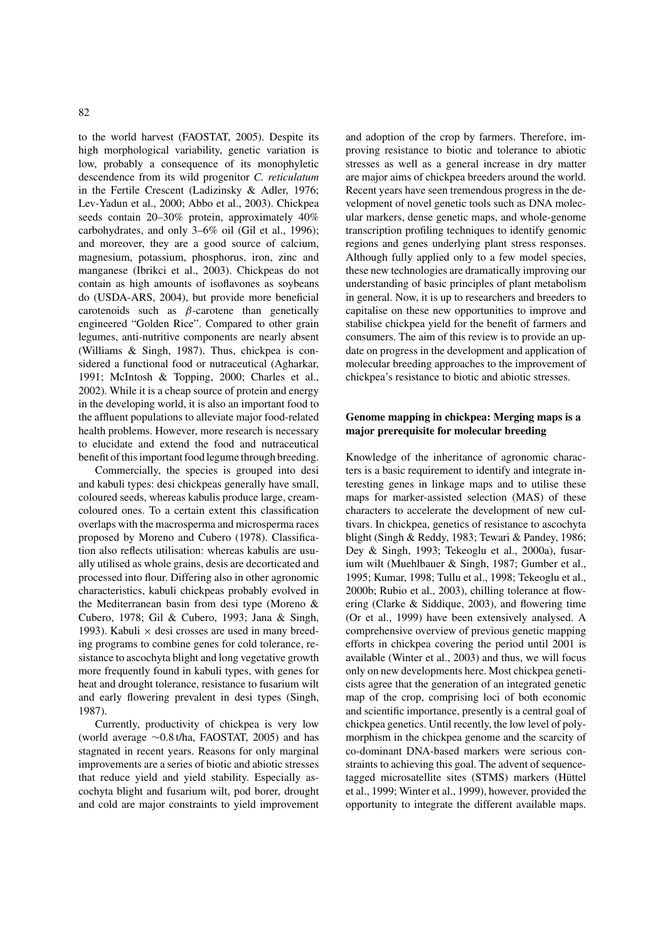to the world harvest (FAOSTAT, 2005). Despite its high morphological variability, genetic variation is low, probably a consequence of its monophyletic descendence from its wild progenitor *C. reticulatum* in the Fertile Crescent (Ladizinsky & Adler, 1976; Lev-Yadun et al., 2000; Abbo et al., 2003). Chickpea seeds contain 20–30% protein, approximately 40% carbohydrates, and only 3–6% oil (Gil et al., 1996); and moreover, they are a good source of calcium, magnesium, potassium, phosphorus, iron, zinc and manganese (Ibrikci et al., 2003). Chickpeas do not contain as high amounts of isoflavones as soybeans do (USDA-ARS, 2004), but provide more beneficial carotenoids such as  $\beta$ -carotene than genetically engineered "Golden Rice". Compared to other grain legumes, anti-nutritive components are nearly absent (Williams & Singh, 1987). Thus, chickpea is considered a functional food or nutraceutical (Agharkar, 1991; McIntosh & Topping, 2000; Charles et al., 2002). While it is a cheap source of protein and energy in the developing world, it is also an important food to the affluent populations to alleviate major food-related health problems. However, more research is necessary to elucidate and extend the food and nutraceutical benefit of this important food legume through breeding.

Commercially, the species is grouped into desi and kabuli types: desi chickpeas generally have small, coloured seeds, whereas kabulis produce large, creamcoloured ones. To a certain extent this classification overlaps with the macrosperma and microsperma races proposed by Moreno and Cubero (1978). Classification also reflects utilisation: whereas kabulis are usually utilised as whole grains, desis are decorticated and processed into flour. Differing also in other agronomic characteristics, kabuli chickpeas probably evolved in the Mediterranean basin from desi type (Moreno & Cubero, 1978; Gil & Cubero, 1993; Jana & Singh, 1993). Kabuli  $\times$  desi crosses are used in many breeding programs to combine genes for cold tolerance, resistance to ascochyta blight and long vegetative growth more frequently found in kabuli types, with genes for heat and drought tolerance, resistance to fusarium wilt and early flowering prevalent in desi types (Singh, 1987).

Currently, productivity of chickpea is very low (world average ∼0.8 t/ha, FAOSTAT, 2005) and has stagnated in recent years. Reasons for only marginal improvements are a series of biotic and abiotic stresses that reduce yield and yield stability. Especially ascochyta blight and fusarium wilt, pod borer, drought and cold are major constraints to yield improvement

and adoption of the crop by farmers. Therefore, improving resistance to biotic and tolerance to abiotic stresses as well as a general increase in dry matter are major aims of chickpea breeders around the world. Recent years have seen tremendous progress in the development of novel genetic tools such as DNA molecular markers, dense genetic maps, and whole-genome transcription profiling techniques to identify genomic regions and genes underlying plant stress responses. Although fully applied only to a few model species, these new technologies are dramatically improving our understanding of basic principles of plant metabolism in general. Now, it is up to researchers and breeders to capitalise on these new opportunities to improve and stabilise chickpea yield for the benefit of farmers and consumers. The aim of this review is to provide an update on progress in the development and application of molecular breeding approaches to the improvement of chickpea's resistance to biotic and abiotic stresses.

# **Genome mapping in chickpea: Merging maps is a major prerequisite for molecular breeding**

Knowledge of the inheritance of agronomic characters is a basic requirement to identify and integrate interesting genes in linkage maps and to utilise these maps for marker-assisted selection (MAS) of these characters to accelerate the development of new cultivars. In chickpea, genetics of resistance to ascochyta blight (Singh & Reddy, 1983; Tewari & Pandey, 1986; Dey & Singh, 1993; Tekeoglu et al., 2000a), fusarium wilt (Muehlbauer & Singh, 1987; Gumber et al., 1995; Kumar, 1998; Tullu et al., 1998; Tekeoglu et al., 2000b; Rubio et al., 2003), chilling tolerance at flowering (Clarke & Siddique, 2003), and flowering time (Or et al., 1999) have been extensively analysed. A comprehensive overview of previous genetic mapping efforts in chickpea covering the period until 2001 is available (Winter et al., 2003) and thus, we will focus only on new developments here. Most chickpea geneticists agree that the generation of an integrated genetic map of the crop, comprising loci of both economic and scientific importance, presently is a central goal of chickpea genetics. Until recently, the low level of polymorphism in the chickpea genome and the scarcity of co-dominant DNA-based markers were serious constraints to achieving this goal. The advent of sequencetagged microsatellite sites (STMS) markers (Hüttel et al., 1999; Winter et al., 1999), however, provided the opportunity to integrate the different available maps.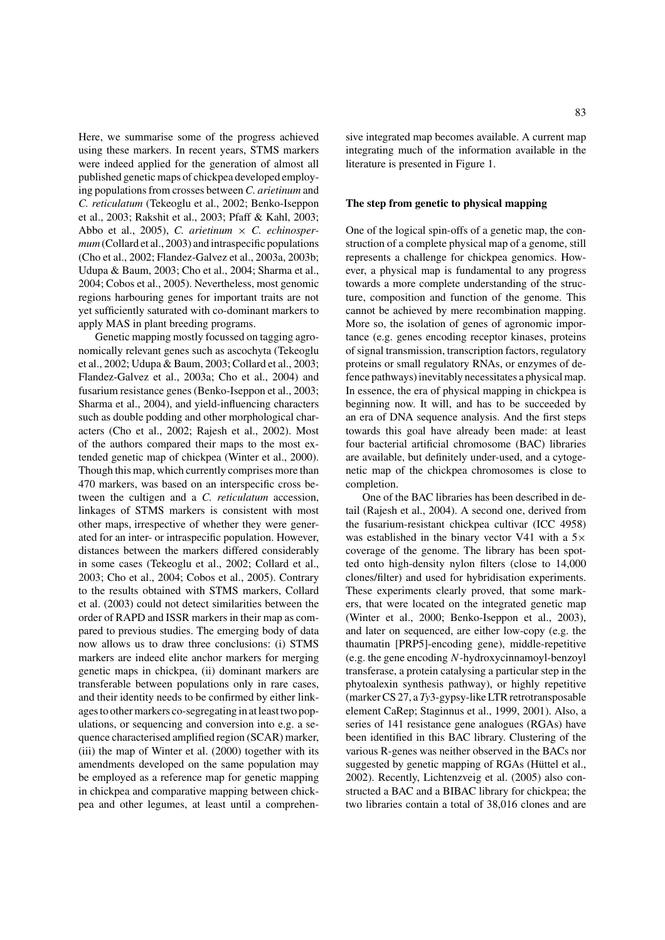Here, we summarise some of the progress achieved using these markers. In recent years, STMS markers were indeed applied for the generation of almost all published genetic maps of chickpea developed employing populations from crosses between *C. arietinum* and *C. reticulatum* (Tekeoglu et al., 2002; Benko-Iseppon et al., 2003; Rakshit et al., 2003; Pfaff & Kahl, 2003; Abbo et al., 2005), *C. arietinum*  $\times$  *C. echinospermum* (Collard et al., 2003) and intraspecific populations (Cho et al., 2002; Flandez-Galvez et al., 2003a, 2003b; Udupa & Baum, 2003; Cho et al., 2004; Sharma et al., 2004; Cobos et al., 2005). Nevertheless, most genomic regions harbouring genes for important traits are not yet sufficiently saturated with co-dominant markers to apply MAS in plant breeding programs.

Genetic mapping mostly focussed on tagging agronomically relevant genes such as ascochyta (Tekeoglu et al., 2002; Udupa & Baum, 2003; Collard et al., 2003; Flandez-Galvez et al., 2003a; Cho et al., 2004) and fusarium resistance genes (Benko-Iseppon et al., 2003; Sharma et al., 2004), and yield-influencing characters such as double podding and other morphological characters (Cho et al., 2002; Rajesh et al., 2002). Most of the authors compared their maps to the most extended genetic map of chickpea (Winter et al., 2000). Though this map, which currently comprises more than 470 markers, was based on an interspecific cross between the cultigen and a *C. reticulatum* accession, linkages of STMS markers is consistent with most other maps, irrespective of whether they were generated for an inter- or intraspecific population. However, distances between the markers differed considerably in some cases (Tekeoglu et al., 2002; Collard et al., 2003; Cho et al., 2004; Cobos et al., 2005). Contrary to the results obtained with STMS markers, Collard et al. (2003) could not detect similarities between the order of RAPD and ISSR markers in their map as compared to previous studies. The emerging body of data now allows us to draw three conclusions: (i) STMS markers are indeed elite anchor markers for merging genetic maps in chickpea, (ii) dominant markers are transferable between populations only in rare cases, and their identity needs to be confirmed by either linkages to other markers co-segregating in at least two populations, or sequencing and conversion into e.g. a sequence characterised amplified region (SCAR) marker, (iii) the map of Winter et al. (2000) together with its amendments developed on the same population may be employed as a reference map for genetic mapping in chickpea and comparative mapping between chickpea and other legumes, at least until a comprehensive integrated map becomes available. A current map integrating much of the information available in the literature is presented in Figure 1.

### **The step from genetic to physical mapping**

One of the logical spin-offs of a genetic map, the construction of a complete physical map of a genome, still represents a challenge for chickpea genomics. However, a physical map is fundamental to any progress towards a more complete understanding of the structure, composition and function of the genome. This cannot be achieved by mere recombination mapping. More so, the isolation of genes of agronomic importance (e.g. genes encoding receptor kinases, proteins of signal transmission, transcription factors, regulatory proteins or small regulatory RNAs, or enzymes of defence pathways) inevitably necessitates a physical map. In essence, the era of physical mapping in chickpea is beginning now. It will, and has to be succeeded by an era of DNA sequence analysis. And the first steps towards this goal have already been made: at least four bacterial artificial chromosome (BAC) libraries are available, but definitely under-used, and a cytogenetic map of the chickpea chromosomes is close to completion.

One of the BAC libraries has been described in detail (Rajesh et al., 2004). A second one, derived from the fusarium-resistant chickpea cultivar (ICC 4958) was established in the binary vector V41 with a  $5\times$ coverage of the genome. The library has been spotted onto high-density nylon filters (close to 14,000 clones/filter) and used for hybridisation experiments. These experiments clearly proved, that some markers, that were located on the integrated genetic map (Winter et al., 2000; Benko-Iseppon et al., 2003), and later on sequenced, are either low-copy (e.g. the thaumatin [PRP5]-encoding gene), middle-repetitive (e.g. the gene encoding *N*-hydroxycinnamoyl-benzoyl transferase, a protein catalysing a particular step in the phytoalexin synthesis pathway), or highly repetitive (marker CS 27, a *Ty*3-gypsy-like LTR retrotransposable element CaRep; Staginnus et al., 1999, 2001). Also, a series of 141 resistance gene analogues (RGAs) have been identified in this BAC library. Clustering of the various R-genes was neither observed in the BACs nor suggested by genetic mapping of RGAs (Hüttel et al., 2002). Recently, Lichtenzveig et al. (2005) also constructed a BAC and a BIBAC library for chickpea; the two libraries contain a total of 38,016 clones and are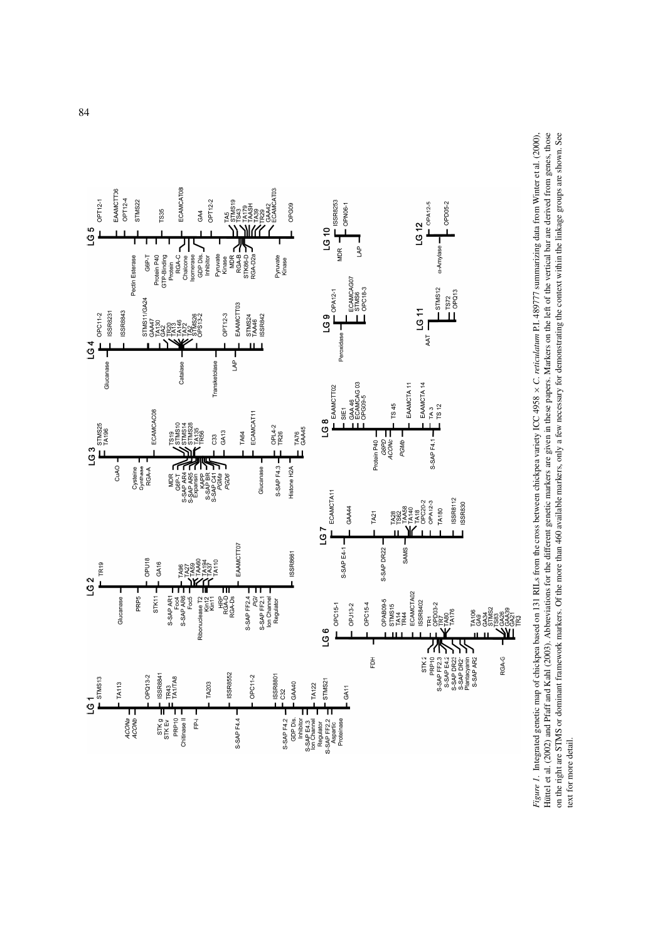

Hüttel et al. (2002) and Pfaff and Kahl (2003). Abbreviations for the different genetic markers are given in these papers. Markers on the left of the vertical bar are derived from genes, those<br>on the right are STMS or domi Figure 1. Integrated genetic map of chickpea based on 131 RILs from the cross between chickpea variety ICC 4958 x C. reticulatum P1. 489777 summarizing data from Winter et al. (2000), Hüttel et al. (2002) and Pfaff and Kahl (2003). Abbreviations for the different genetic markers are given in these papers. Markers on the left of the vertical bar are derived from genes, those on the right are STMS or dominant framework markers. Of the more than 460 available markers, only a few necessary for demonstrating the context within the linkage groups are shown. See Figure 1. Integrated genetic map of chickpea based on 131 RHs from the cross between chickpea variety ICC 4958 x C. reticulatum P.I. 489777 summarizing data from Winter et al. (2000), text for more detail. text for more detail.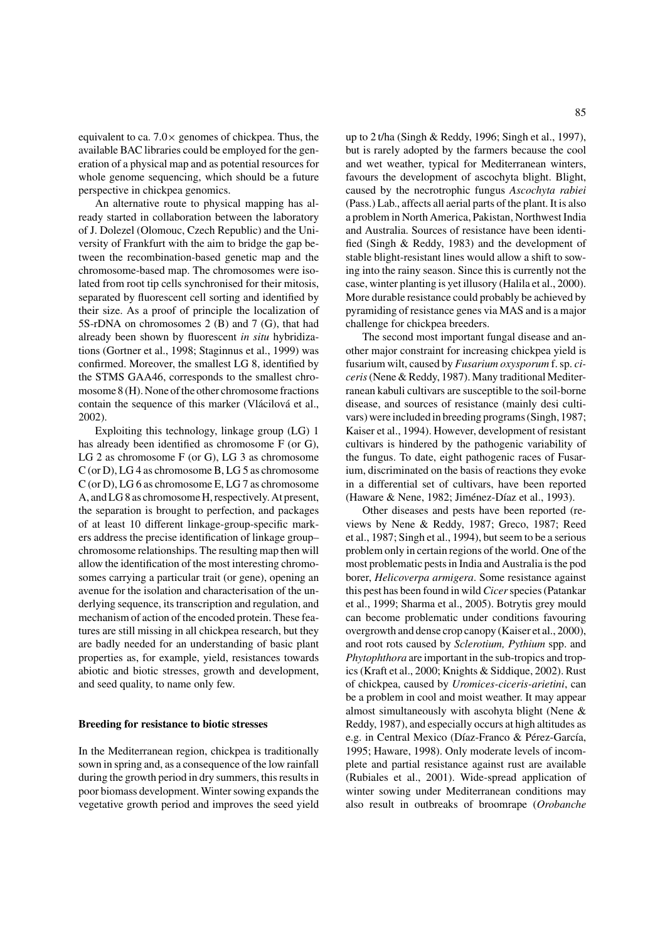equivalent to ca.  $7.0 \times$  genomes of chickpea. Thus, the available BAC libraries could be employed for the generation of a physical map and as potential resources for whole genome sequencing, which should be a future perspective in chickpea genomics.

An alternative route to physical mapping has already started in collaboration between the laboratory of J. Dolezel (Olomouc, Czech Republic) and the University of Frankfurt with the aim to bridge the gap between the recombination-based genetic map and the chromosome-based map. The chromosomes were isolated from root tip cells synchronised for their mitosis, separated by fluorescent cell sorting and identified by their size. As a proof of principle the localization of 5S-rDNA on chromosomes 2 (B) and 7 (G), that had already been shown by fluorescent *in situ* hybridizations (Gortner et al., 1998; Staginnus et al., 1999) was confirmed. Moreover, the smallest LG 8, identified by the STMS GAA46, corresponds to the smallest chromosome 8 (H). None of the other chromosome fractions contain the sequence of this marker (Vlácilová et al., 2002).

Exploiting this technology, linkage group (LG) 1 has already been identified as chromosome F (or G), LG 2 as chromosome F (or G), LG 3 as chromosome C (or D), LG 4 as chromosome B, LG 5 as chromosome C (or D), LG 6 as chromosome E, LG 7 as chromosome A, and LG 8 as chromosome H, respectively. At present, the separation is brought to perfection, and packages of at least 10 different linkage-group-specific markers address the precise identification of linkage group– chromosome relationships. The resulting map then will allow the identification of the most interesting chromosomes carrying a particular trait (or gene), opening an avenue for the isolation and characterisation of the underlying sequence, its transcription and regulation, and mechanism of action of the encoded protein. These features are still missing in all chickpea research, but they are badly needed for an understanding of basic plant properties as, for example, yield, resistances towards abiotic and biotic stresses, growth and development, and seed quality, to name only few.

### **Breeding for resistance to biotic stresses**

In the Mediterranean region, chickpea is traditionally sown in spring and, as a consequence of the low rainfall during the growth period in dry summers, this results in poor biomass development. Winter sowing expands the vegetative growth period and improves the seed yield

up to 2 t/ha (Singh & Reddy, 1996; Singh et al., 1997), but is rarely adopted by the farmers because the cool and wet weather, typical for Mediterranean winters, favours the development of ascochyta blight. Blight, caused by the necrotrophic fungus *Ascochyta rabiei* (Pass.) Lab., affects all aerial parts of the plant. It is also a problem in North America, Pakistan, Northwest India and Australia. Sources of resistance have been identified (Singh & Reddy, 1983) and the development of stable blight-resistant lines would allow a shift to sowing into the rainy season. Since this is currently not the case, winter planting is yet illusory (Halila et al., 2000). More durable resistance could probably be achieved by pyramiding of resistance genes via MAS and is a major challenge for chickpea breeders.

The second most important fungal disease and another major constraint for increasing chickpea yield is fusarium wilt, caused by *Fusarium oxysporum* f. sp. *ciceris*(Nene & Reddy, 1987). Many traditional Mediterranean kabuli cultivars are susceptible to the soil-borne disease, and sources of resistance (mainly desi cultivars) were included in breeding programs (Singh, 1987; Kaiser et al., 1994). However, development of resistant cultivars is hindered by the pathogenic variability of the fungus. To date, eight pathogenic races of Fusarium, discriminated on the basis of reactions they evoke in a differential set of cultivars, have been reported (Haware & Nene, 1982; Jiménez-Díaz et al., 1993).

Other diseases and pests have been reported (reviews by Nene & Reddy, 1987; Greco, 1987; Reed et al., 1987; Singh et al., 1994), but seem to be a serious problem only in certain regions of the world. One of the most problematic pests in India and Australia is the pod borer, *Helicoverpa armigera*. Some resistance against this pest has been found in wild *Cicer*species (Patankar et al., 1999; Sharma et al., 2005). Botrytis grey mould can become problematic under conditions favouring overgrowth and dense crop canopy (Kaiser et al., 2000), and root rots caused by *Sclerotium, Pythium* spp. and *Phytophthora* are important in the sub-tropics and tropics (Kraft et al., 2000; Knights & Siddique, 2002). Rust of chickpea, caused by *Uromices-ciceris-arietini*, can be a problem in cool and moist weather. It may appear almost simultaneously with ascohyta blight (Nene & Reddy, 1987), and especially occurs at high altitudes as e.g. in Central Mexico (Díaz-Franco & Pérez-García, 1995; Haware, 1998). Only moderate levels of incomplete and partial resistance against rust are available (Rubiales et al., 2001). Wide-spread application of winter sowing under Mediterranean conditions may also result in outbreaks of broomrape (*Orobanche*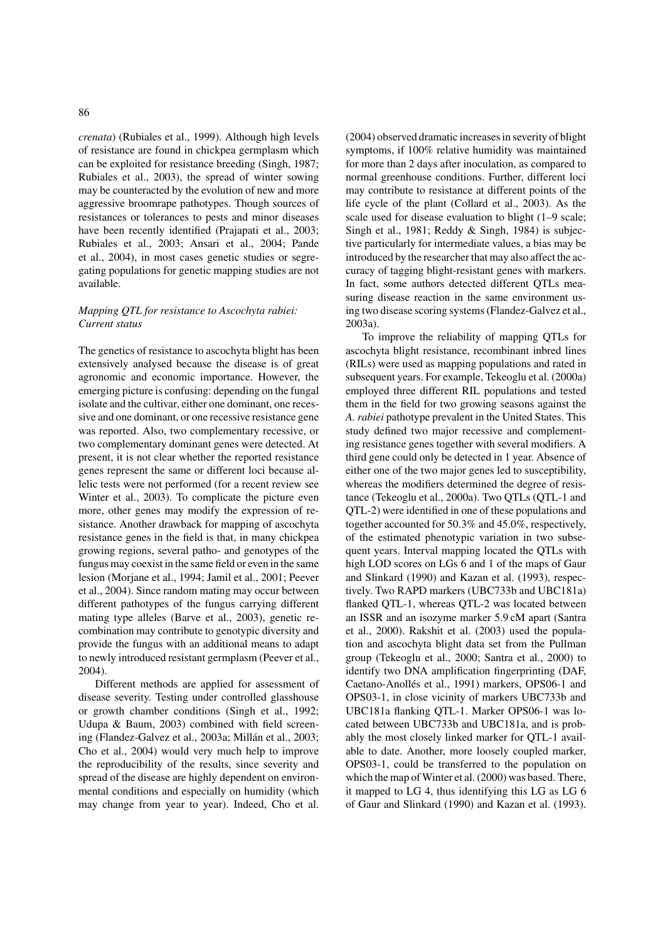*crenata*) (Rubiales et al., 1999). Although high levels of resistance are found in chickpea germplasm which can be exploited for resistance breeding (Singh, 1987; Rubiales et al., 2003), the spread of winter sowing may be counteracted by the evolution of new and more aggressive broomrape pathotypes. Though sources of resistances or tolerances to pests and minor diseases have been recently identified (Prajapati et al., 2003; Rubiales et al., 2003; Ansari et al., 2004; Pande et al., 2004), in most cases genetic studies or segregating populations for genetic mapping studies are not available.

# *Mapping QTL for resistance to Ascochyta rabiei: Current status*

The genetics of resistance to ascochyta blight has been extensively analysed because the disease is of great agronomic and economic importance. However, the emerging picture is confusing: depending on the fungal isolate and the cultivar, either one dominant, one recessive and one dominant, or one recessive resistance gene was reported. Also, two complementary recessive, or two complementary dominant genes were detected. At present, it is not clear whether the reported resistance genes represent the same or different loci because allelic tests were not performed (for a recent review see Winter et al., 2003). To complicate the picture even more, other genes may modify the expression of resistance. Another drawback for mapping of ascochyta resistance genes in the field is that, in many chickpea growing regions, several patho- and genotypes of the fungus may coexist in the same field or even in the same lesion (Morjane et al., 1994; Jamil et al., 2001; Peever et al., 2004). Since random mating may occur between different pathotypes of the fungus carrying different mating type alleles (Barve et al., 2003), genetic recombination may contribute to genotypic diversity and provide the fungus with an additional means to adapt to newly introduced resistant germplasm (Peever et al., 2004).

Different methods are applied for assessment of disease severity. Testing under controlled glasshouse or growth chamber conditions (Singh et al., 1992; Udupa & Baum, 2003) combined with field screening (Flandez-Galvez et al., 2003a; Millán et al., 2003; Cho et al., 2004) would very much help to improve the reproducibility of the results, since severity and spread of the disease are highly dependent on environmental conditions and especially on humidity (which may change from year to year). Indeed, Cho et al.

(2004) observed dramatic increases in severity of blight symptoms, if 100% relative humidity was maintained for more than 2 days after inoculation, as compared to normal greenhouse conditions. Further, different loci may contribute to resistance at different points of the life cycle of the plant (Collard et al., 2003). As the scale used for disease evaluation to blight (1–9 scale; Singh et al., 1981; Reddy  $&$  Singh, 1984) is subjective particularly for intermediate values, a bias may be introduced by the researcher that may also affect the accuracy of tagging blight-resistant genes with markers. In fact, some authors detected different QTLs measuring disease reaction in the same environment using two disease scoring systems (Flandez-Galvez et al., 2003a).

To improve the reliability of mapping QTLs for ascochyta blight resistance, recombinant inbred lines (RILs) were used as mapping populations and rated in subsequent years. For example, Tekeoglu et al. (2000a) employed three different RIL populations and tested them in the field for two growing seasons against the *A. rabiei* pathotype prevalent in the United States. This study defined two major recessive and complementing resistance genes together with several modifiers. A third gene could only be detected in 1 year. Absence of either one of the two major genes led to susceptibility, whereas the modifiers determined the degree of resistance (Tekeoglu et al., 2000a). Two QTLs (QTL-1 and QTL-2) were identified in one of these populations and together accounted for 50.3% and 45.0%, respectively, of the estimated phenotypic variation in two subsequent years. Interval mapping located the QTLs with high LOD scores on LGs 6 and 1 of the maps of Gaur and Slinkard (1990) and Kazan et al. (1993), respectively. Two RAPD markers (UBC733b and UBC181a) flanked QTL-1, whereas QTL-2 was located between an ISSR and an isozyme marker 5.9 cM apart (Santra et al., 2000). Rakshit et al. (2003) used the population and ascochyta blight data set from the Pullman group (Tekeoglu et al., 2000; Santra et al., 2000) to identify two DNA amplification fingerprinting (DAF, Caetano-Anollés et al., 1991) markers, OPS06-1 and OPS03-1, in close vicinity of markers UBC733b and UBC181a flanking QTL-1. Marker OPS06-1 was located between UBC733b and UBC181a, and is probably the most closely linked marker for QTL-1 available to date. Another, more loosely coupled marker, OPS03-1, could be transferred to the population on which the map of Winter et al. (2000) was based. There, it mapped to LG 4, thus identifying this LG as LG 6 of Gaur and Slinkard (1990) and Kazan et al. (1993).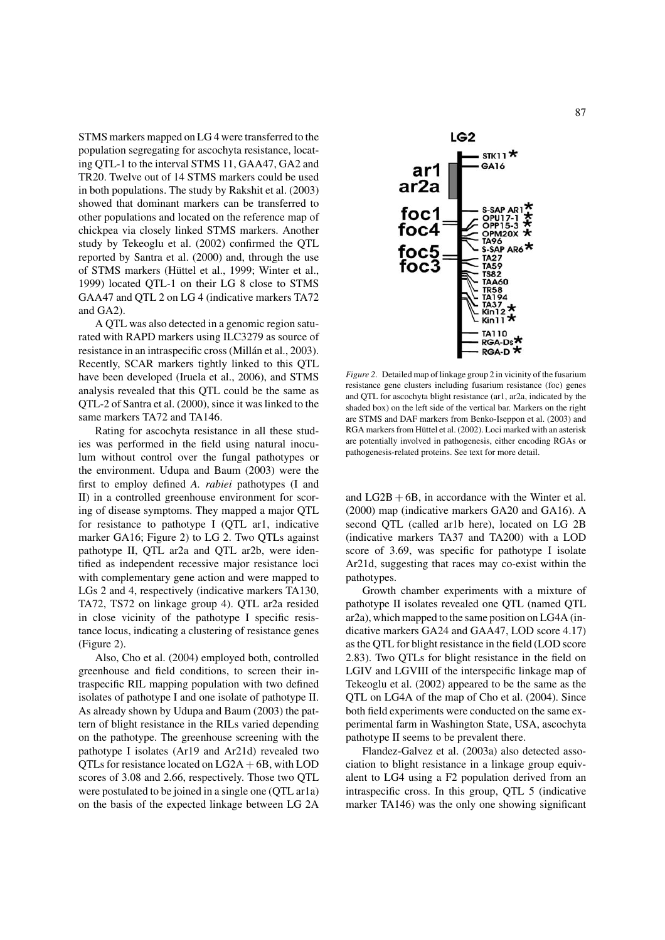STMS markers mapped on LG 4 were transferred to the population segregating for ascochyta resistance, locating QTL-1 to the interval STMS 11, GAA47, GA2 and TR20. Twelve out of 14 STMS markers could be used in both populations. The study by Rakshit et al. (2003) showed that dominant markers can be transferred to other populations and located on the reference map of chickpea via closely linked STMS markers. Another study by Tekeoglu et al. (2002) confirmed the QTL reported by Santra et al. (2000) and, through the use of STMS markers (Hüttel et al., 1999; Winter et al., 1999) located QTL-1 on their LG 8 close to STMS GAA47 and QTL 2 on LG 4 (indicative markers TA72 and GA2).

A QTL was also detected in a genomic region saturated with RAPD markers using ILC3279 as source of resistance in an intraspecific cross (Millán et al., 2003). Recently, SCAR markers tightly linked to this QTL have been developed (Iruela et al., 2006), and STMS analysis revealed that this QTL could be the same as QTL-2 of Santra et al. (2000), since it was linked to the same markers TA72 and TA146.

Rating for ascochyta resistance in all these studies was performed in the field using natural inoculum without control over the fungal pathotypes or the environment. Udupa and Baum (2003) were the first to employ defined *A. rabiei* pathotypes (I and II) in a controlled greenhouse environment for scoring of disease symptoms. They mapped a major QTL for resistance to pathotype I (QTL ar1, indicative marker GA16; Figure 2) to LG 2. Two QTLs against pathotype II, QTL ar2a and QTL ar2b, were identified as independent recessive major resistance loci with complementary gene action and were mapped to LGs 2 and 4, respectively (indicative markers TA130, TA72, TS72 on linkage group 4). QTL ar2a resided in close vicinity of the pathotype I specific resistance locus, indicating a clustering of resistance genes (Figure 2).

Also, Cho et al. (2004) employed both, controlled greenhouse and field conditions, to screen their intraspecific RIL mapping population with two defined isolates of pathotype I and one isolate of pathotype II. As already shown by Udupa and Baum (2003) the pattern of blight resistance in the RILs varied depending on the pathotype. The greenhouse screening with the pathotype I isolates (Ar19 and Ar21d) revealed two OTLs for resistance located on  $LG2A + 6B$ , with LOD scores of 3.08 and 2.66, respectively. Those two QTL were postulated to be joined in a single one (QTL ar1a) on the basis of the expected linkage between LG 2A



*Figure 2*. Detailed map of linkage group 2 in vicinity of the fusarium resistance gene clusters including fusarium resistance (foc) genes and QTL for ascochyta blight resistance (ar1, ar2a, indicated by the shaded box) on the left side of the vertical bar. Markers on the right are STMS and DAF markers from Benko-Iseppon et al. (2003) and RGA markers from Hüttel et al. (2002). Loci marked with an asterisk are potentially involved in pathogenesis, either encoding RGAs or pathogenesis-related proteins. See text for more detail.

and  $LG2B + 6B$ , in accordance with the Winter et al. (2000) map (indicative markers GA20 and GA16). A second QTL (called ar1b here), located on LG 2B (indicative markers TA37 and TA200) with a LOD score of 3.69, was specific for pathotype I isolate Ar21d, suggesting that races may co-exist within the pathotypes.

Growth chamber experiments with a mixture of pathotype II isolates revealed one QTL (named QTL ar2a), which mapped to the same position on LG4A (indicative markers GA24 and GAA47, LOD score 4.17) as the QTL for blight resistance in the field (LOD score 2.83). Two QTLs for blight resistance in the field on LGIV and LGVIII of the interspecific linkage map of Tekeoglu et al. (2002) appeared to be the same as the QTL on LG4A of the map of Cho et al. (2004). Since both field experiments were conducted on the same experimental farm in Washington State, USA, ascochyta pathotype II seems to be prevalent there.

Flandez-Galvez et al. (2003a) also detected association to blight resistance in a linkage group equivalent to LG4 using a F2 population derived from an intraspecific cross. In this group, QTL 5 (indicative marker TA146) was the only one showing significant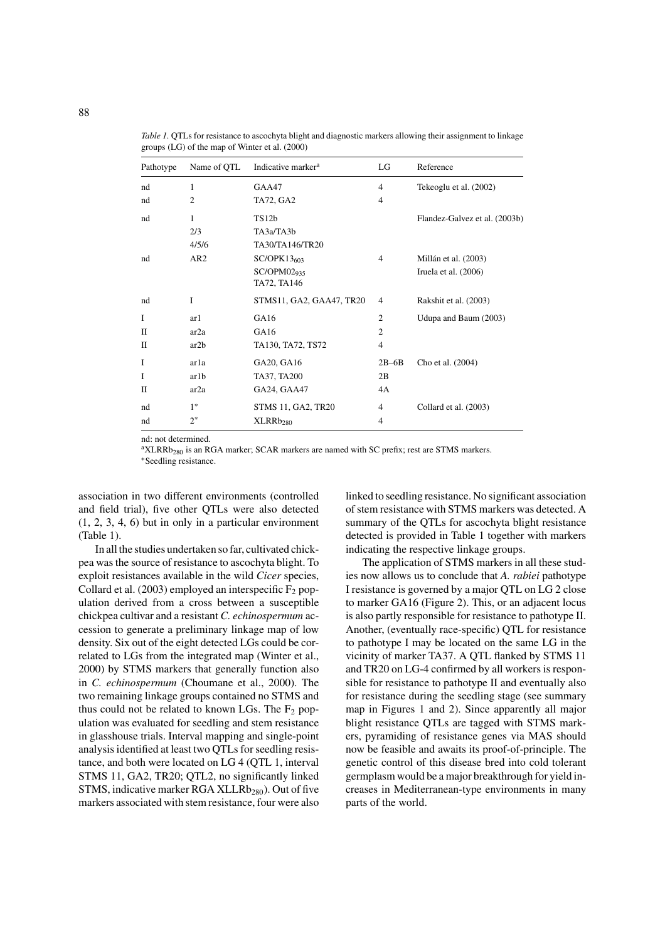| Pathotype    | Name of QTL     | Indicative marker <sup>a</sup> | LG             | Reference                     |
|--------------|-----------------|--------------------------------|----------------|-------------------------------|
| nd           | 1               | GAA47                          | 4              | Tekeoglu et al. (2002)        |
| nd           | 2               | TA72, GA2                      | 4              |                               |
| nd           | 1               | TS12b                          |                | Flandez-Galvez et al. (2003b) |
|              | 2/3             | TA3a/TA3b                      |                |                               |
|              | 4/5/6           | TA30/TA146/TR20                |                |                               |
| nd           | AR <sub>2</sub> | SC/OPK13 <sub>603</sub>        | 4              | Millán et al. (2003)          |
|              |                 | SC/OPM02935                    |                | Iruela et al. $(2006)$        |
|              |                 | TA72, TA146                    |                |                               |
| nd           | I               | STMS11, GA2, GAA47, TR20       | $\overline{4}$ | Rakshit et al. (2003)         |
| I            | ar 1            | GA16                           | 2              | Udupa and Baum (2003)         |
| $\mathbf{I}$ | ar2a            | GA16                           | 2              |                               |
| П            | ar2b            | TA130, TA72, TS72              | 4              |                               |
| I            | arla            | GA20, GA16                     | $2B-6B$        | Cho et al. (2004)             |
| I            | ar1b            | TA37, TA200                    | 2B             |                               |
| П            | ar2a            | GA24, GAA47                    | 4A             |                               |
| nd           | $1*$            | STMS 11, GA2, TR20             | 4              | Collard et al. (2003)         |
| nd           | $2^*$           | XLRRb <sub>280</sub>           | 4              |                               |

*Table 1.* QTLs for resistance to ascochyta blight and diagnostic markers allowing their assignment to linkage groups (LG) of the map of Winter et al. (2000)

nd: not determined.

<sup>a</sup>XLRRb<sub>280</sub> is an RGA marker; SCAR markers are named with SC prefix; rest are STMS markers. \*Seedling resistance.

association in two different environments (controlled and field trial), five other QTLs were also detected (1, 2, 3, 4, 6) but in only in a particular environment (Table 1).

In all the studies undertaken so far, cultivated chickpea was the source of resistance to ascochyta blight. To exploit resistances available in the wild *Cicer* species, Collard et al. (2003) employed an interspecific  $F_2$  population derived from a cross between a susceptible chickpea cultivar and a resistant *C. echinospermum* accession to generate a preliminary linkage map of low density. Six out of the eight detected LGs could be correlated to LGs from the integrated map (Winter et al., 2000) by STMS markers that generally function also in *C. echinospermum* (Choumane et al., 2000). The two remaining linkage groups contained no STMS and thus could not be related to known LGs. The  $F_2$  population was evaluated for seedling and stem resistance in glasshouse trials. Interval mapping and single-point analysis identified at least two QTLs for seedling resistance, and both were located on LG 4 (QTL 1, interval STMS 11, GA2, TR20; QTL2, no significantly linked STMS, indicative marker RGA XLLRb $_{280}$ ). Out of five markers associated with stem resistance, four were also

linked to seedling resistance. No significant association of stem resistance with STMS markers was detected. A summary of the QTLs for ascochyta blight resistance detected is provided in Table 1 together with markers indicating the respective linkage groups.

The application of STMS markers in all these studies now allows us to conclude that *A. rabiei* pathotype I resistance is governed by a major QTL on LG 2 close to marker GA16 (Figure 2). This, or an adjacent locus is also partly responsible for resistance to pathotype II. Another, (eventually race-specific) QTL for resistance to pathotype I may be located on the same LG in the vicinity of marker TA37. A QTL flanked by STMS 11 and TR20 on LG-4 confirmed by all workers is responsible for resistance to pathotype II and eventually also for resistance during the seedling stage (see summary map in Figures 1 and 2). Since apparently all major blight resistance QTLs are tagged with STMS markers, pyramiding of resistance genes via MAS should now be feasible and awaits its proof-of-principle. The genetic control of this disease bred into cold tolerant germplasm would be a major breakthrough for yield increases in Mediterranean-type environments in many parts of the world.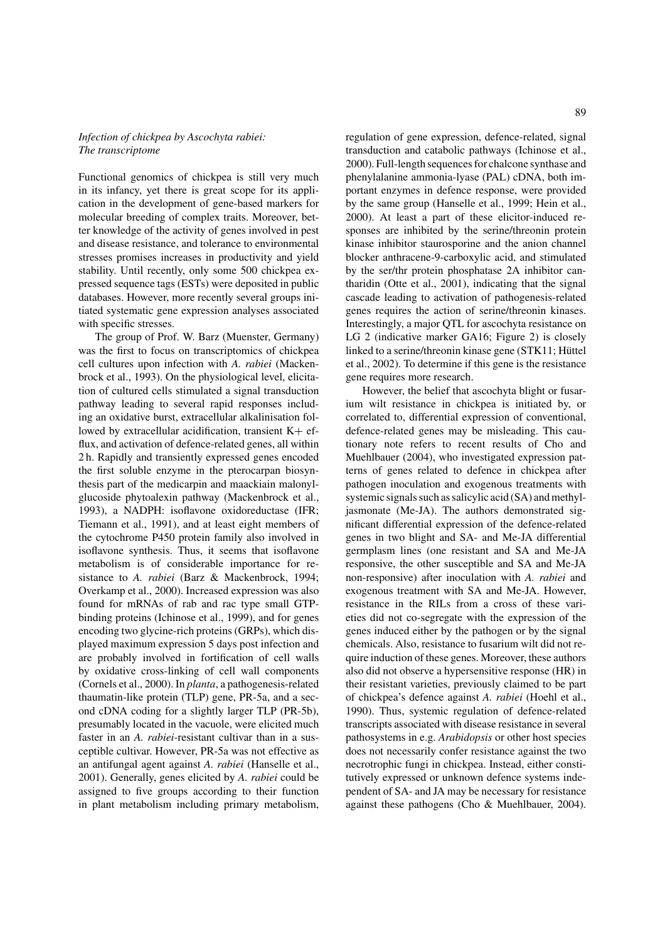### *Infection of chickpea by Ascochyta rabiei: The transcriptome*

Functional genomics of chickpea is still very much in its infancy, yet there is great scope for its application in the development of gene-based markers for molecular breeding of complex traits. Moreover, better knowledge of the activity of genes involved in pest and disease resistance, and tolerance to environmental stresses promises increases in productivity and yield stability. Until recently, only some 500 chickpea expressed sequence tags (ESTs) were deposited in public databases. However, more recently several groups initiated systematic gene expression analyses associated with specific stresses.

The group of Prof. W. Barz (Muenster, Germany) was the first to focus on transcriptomics of chickpea cell cultures upon infection with *A. rabiei* (Mackenbrock et al., 1993). On the physiological level, elicitation of cultured cells stimulated a signal transduction pathway leading to several rapid responses including an oxidative burst, extracellular alkalinisation followed by extracellular acidification, transient  $K + ef$ flux, and activation of defence-related genes, all within 2 h. Rapidly and transiently expressed genes encoded the first soluble enzyme in the pterocarpan biosynthesis part of the medicarpin and maackiain malonylglucoside phytoalexin pathway (Mackenbrock et al., 1993), a NADPH: isoflavone oxidoreductase (IFR; Tiemann et al., 1991), and at least eight members of the cytochrome P450 protein family also involved in isoflavone synthesis. Thus, it seems that isoflavone metabolism is of considerable importance for resistance to *A. rabiei* (Barz & Mackenbrock, 1994; Overkamp et al., 2000). Increased expression was also found for mRNAs of rab and rac type small GTPbinding proteins (Ichinose et al., 1999), and for genes encoding two glycine-rich proteins (GRPs), which displayed maximum expression 5 days post infection and are probably involved in fortification of cell walls by oxidative cross-linking of cell wall components (Cornels et al., 2000). In *planta*, a pathogenesis-related thaumatin-like protein (TLP) gene, PR-5a, and a second cDNA coding for a slightly larger TLP (PR-5b), presumably located in the vacuole, were elicited much faster in an *A. rabiei*-resistant cultivar than in a susceptible cultivar. However, PR-5a was not effective as an antifungal agent against *A. rabiei* (Hanselle et al., 2001). Generally, genes elicited by *A. rabiei* could be assigned to five groups according to their function in plant metabolism including primary metabolism,

regulation of gene expression, defence-related, signal transduction and catabolic pathways (Ichinose et al., 2000). Full-length sequences for chalcone synthase and phenylalanine ammonia-lyase (PAL) cDNA, both important enzymes in defence response, were provided by the same group (Hanselle et al., 1999; Hein et al., 2000). At least a part of these elicitor-induced responses are inhibited by the serine/threonin protein kinase inhibitor staurosporine and the anion channel blocker anthracene-9-carboxylic acid, and stimulated by the ser/thr protein phosphatase 2A inhibitor cantharidin (Otte et al., 2001), indicating that the signal cascade leading to activation of pathogenesis-related genes requires the action of serine/threonin kinases. Interestingly, a major QTL for ascochyta resistance on LG 2 (indicative marker GA16; Figure 2) is closely linked to a serine/threonin kinase gene (STK11; Hüttel et al., 2002). To determine if this gene is the resistance gene requires more research.

However, the belief that ascochyta blight or fusarium wilt resistance in chickpea is initiated by, or correlated to, differential expression of conventional, defence-related genes may be misleading. This cautionary note refers to recent results of Cho and Muehlbauer (2004), who investigated expression patterns of genes related to defence in chickpea after pathogen inoculation and exogenous treatments with systemic signals such as salicylic acid (SA) and methyljasmonate (Me-JA). The authors demonstrated significant differential expression of the defence-related genes in two blight and SA- and Me-JA differential germplasm lines (one resistant and SA and Me-JA responsive, the other susceptible and SA and Me-JA non-responsive) after inoculation with *A. rabiei* and exogenous treatment with SA and Me-JA. However, resistance in the RILs from a cross of these varieties did not co-segregate with the expression of the genes induced either by the pathogen or by the signal chemicals. Also, resistance to fusarium wilt did not require induction of these genes. Moreover, these authors also did not observe a hypersensitive response (HR) in their resistant varieties, previously claimed to be part of chickpea's defence against *A. rabiei* (Hoehl et al., 1990). Thus, systemic regulation of defence-related transcripts associated with disease resistance in several pathosystems in e.g. *Arabidopsis* or other host species does not necessarily confer resistance against the two necrotrophic fungi in chickpea. Instead, either constitutively expressed or unknown defence systems independent of SA- and JA may be necessary for resistance against these pathogens (Cho & Muehlbauer, 2004).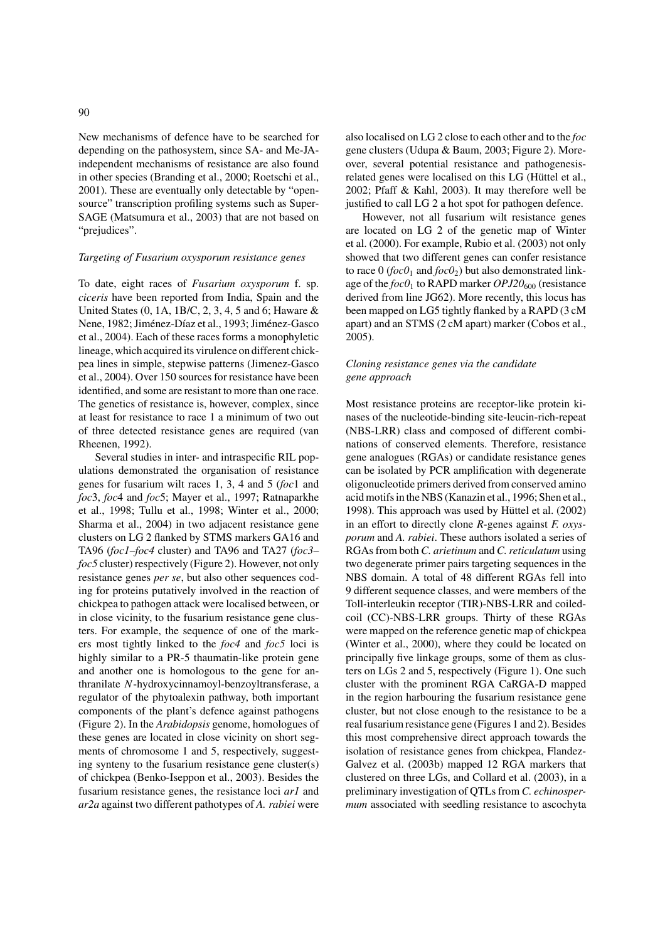New mechanisms of defence have to be searched for depending on the pathosystem, since SA- and Me-JAindependent mechanisms of resistance are also found in other species (Branding et al., 2000; Roetschi et al., 2001). These are eventually only detectable by "opensource" transcription profiling systems such as Super-SAGE (Matsumura et al., 2003) that are not based on "prejudices".

### *Targeting of Fusarium oxysporum resistance genes*

To date, eight races of *Fusarium oxysporum* f. sp. *ciceris* have been reported from India, Spain and the United States (0, 1A, 1B/C, 2, 3, 4, 5 and 6; Haware & Nene, 1982; Jiménez-Díaz et al., 1993; Jiménez-Gasco et al., 2004). Each of these races forms a monophyletic lineage, which acquired its virulence on different chickpea lines in simple, stepwise patterns (Jimenez-Gasco et al., 2004). Over 150 sources for resistance have been identified, and some are resistant to more than one race. The genetics of resistance is, however, complex, since at least for resistance to race 1 a minimum of two out of three detected resistance genes are required (van Rheenen, 1992).

Several studies in inter- and intraspecific RIL populations demonstrated the organisation of resistance genes for fusarium wilt races 1, 3, 4 and 5 (*foc*1 and *foc*3, *foc*4 and *foc*5; Mayer et al., 1997; Ratnaparkhe et al., 1998; Tullu et al., 1998; Winter et al., 2000; Sharma et al., 2004) in two adjacent resistance gene clusters on LG 2 flanked by STMS markers GA16 and TA96 (*foc1*–*foc4* cluster) and TA96 and TA27 (*foc3*– *foc5* cluster) respectively (Figure 2). However, not only resistance genes *per se*, but also other sequences coding for proteins putatively involved in the reaction of chickpea to pathogen attack were localised between, or in close vicinity, to the fusarium resistance gene clusters. For example, the sequence of one of the markers most tightly linked to the *foc4* and *foc5* loci is highly similar to a PR-5 thaumatin-like protein gene and another one is homologous to the gene for anthranilate *N*-hydroxycinnamoyl-benzoyltransferase, a regulator of the phytoalexin pathway, both important components of the plant's defence against pathogens (Figure 2). In the *Arabidopsis* genome, homologues of these genes are located in close vicinity on short segments of chromosome 1 and 5, respectively, suggesting synteny to the fusarium resistance gene cluster(s) of chickpea (Benko-Iseppon et al., 2003). Besides the fusarium resistance genes, the resistance loci *ar1* and *ar2a* against two different pathotypes of *A. rabiei* were

also localised on LG 2 close to each other and to the *foc* gene clusters (Udupa & Baum, 2003; Figure 2). Moreover, several potential resistance and pathogenesisrelated genes were localised on this LG (Hüttel et al., 2002; Pfaff & Kahl, 2003). It may therefore well be justified to call LG 2 a hot spot for pathogen defence.

However, not all fusarium wilt resistance genes are located on LG 2 of the genetic map of Winter et al. (2000). For example, Rubio et al. (2003) not only showed that two different genes can confer resistance to race  $0$  (*foc* $0_1$  and *foc* $0_2$ ) but also demonstrated linkage of the *foc*<sup>0</sup><sub>1</sub> to RAPD marker *OPJ20*<sub>600</sub> (resistance derived from line JG62). More recently, this locus has been mapped on LG5 tightly flanked by a RAPD (3 cM apart) and an STMS (2 cM apart) marker (Cobos et al., 2005).

### *Cloning resistance genes via the candidate gene approach*

Most resistance proteins are receptor-like protein kinases of the nucleotide-binding site-leucin-rich-repeat (NBS-LRR) class and composed of different combinations of conserved elements. Therefore, resistance gene analogues (RGAs) or candidate resistance genes can be isolated by PCR amplification with degenerate oligonucleotide primers derived from conserved amino acid motifs in the NBS (Kanazin et al., 1996; Shen et al., 1998). This approach was used by Hüttel et al.  $(2002)$ in an effort to directly clone *R*-genes against *F. oxysporum* and *A. rabiei*. These authors isolated a series of RGAs from both *C. arietinum* and *C. reticulatum* using two degenerate primer pairs targeting sequences in the NBS domain. A total of 48 different RGAs fell into 9 different sequence classes, and were members of the Toll-interleukin receptor (TIR)-NBS-LRR and coiledcoil (CC)-NBS-LRR groups. Thirty of these RGAs were mapped on the reference genetic map of chickpea (Winter et al., 2000), where they could be located on principally five linkage groups, some of them as clusters on LGs 2 and 5, respectively (Figure 1). One such cluster with the prominent RGA CaRGA-D mapped in the region harbouring the fusarium resistance gene cluster, but not close enough to the resistance to be a real fusarium resistance gene (Figures 1 and 2). Besides this most comprehensive direct approach towards the isolation of resistance genes from chickpea, Flandez-Galvez et al. (2003b) mapped 12 RGA markers that clustered on three LGs, and Collard et al. (2003), in a preliminary investigation of QTLs from *C. echinospermum* associated with seedling resistance to ascochyta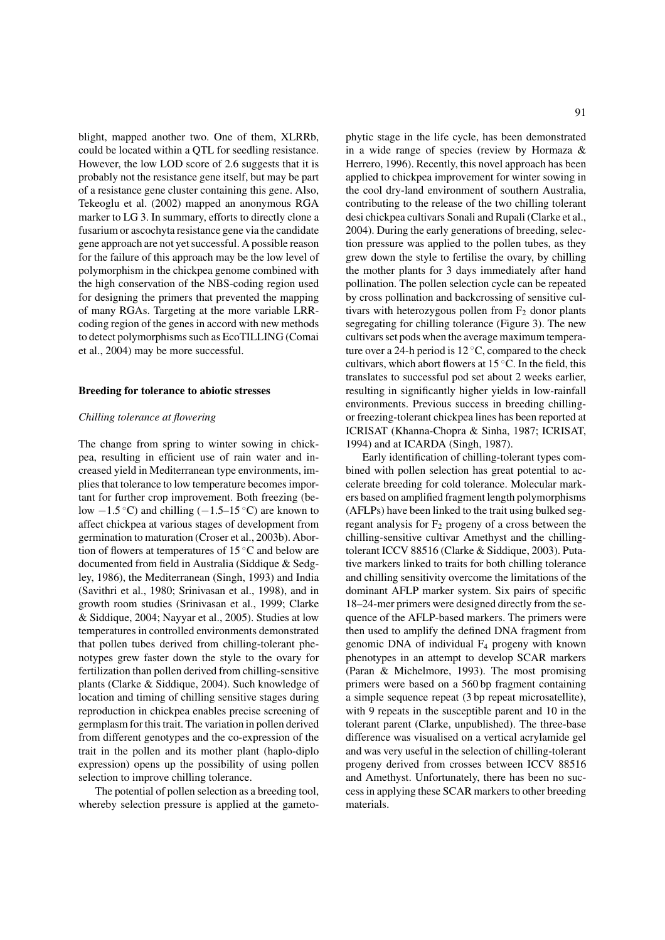blight, mapped another two. One of them, XLRRb, could be located within a QTL for seedling resistance. However, the low LOD score of 2.6 suggests that it is probably not the resistance gene itself, but may be part of a resistance gene cluster containing this gene. Also, Tekeoglu et al. (2002) mapped an anonymous RGA marker to LG 3. In summary, efforts to directly clone a fusarium or ascochyta resistance gene via the candidate gene approach are not yet successful. A possible reason for the failure of this approach may be the low level of polymorphism in the chickpea genome combined with the high conservation of the NBS-coding region used for designing the primers that prevented the mapping of many RGAs. Targeting at the more variable LRRcoding region of the genes in accord with new methods to detect polymorphisms such as EcoTILLING (Comai et al., 2004) may be more successful.

#### **Breeding for tolerance to abiotic stresses**

#### *Chilling tolerance at flowering*

The change from spring to winter sowing in chickpea, resulting in efficient use of rain water and increased yield in Mediterranean type environments, implies that tolerance to low temperature becomes important for further crop improvement. Both freezing (below  $-1.5\textdegree C$ ) and chilling ( $-1.5-15\textdegree C$ ) are known to affect chickpea at various stages of development from germination to maturation (Croser et al., 2003b). Abortion of flowers at temperatures of 15 ◦C and below are documented from field in Australia (Siddique & Sedgley, 1986), the Mediterranean (Singh, 1993) and India (Savithri et al., 1980; Srinivasan et al., 1998), and in growth room studies (Srinivasan et al., 1999; Clarke & Siddique, 2004; Nayyar et al., 2005). Studies at low temperatures in controlled environments demonstrated that pollen tubes derived from chilling-tolerant phenotypes grew faster down the style to the ovary for fertilization than pollen derived from chilling-sensitive plants (Clarke & Siddique, 2004). Such knowledge of location and timing of chilling sensitive stages during reproduction in chickpea enables precise screening of germplasm for this trait. The variation in pollen derived from different genotypes and the co-expression of the trait in the pollen and its mother plant (haplo-diplo expression) opens up the possibility of using pollen selection to improve chilling tolerance.

The potential of pollen selection as a breeding tool, whereby selection pressure is applied at the gameto91

phytic stage in the life cycle, has been demonstrated in a wide range of species (review by Hormaza & Herrero, 1996). Recently, this novel approach has been applied to chickpea improvement for winter sowing in the cool dry-land environment of southern Australia, contributing to the release of the two chilling tolerant desi chickpea cultivars Sonali and Rupali (Clarke et al., 2004). During the early generations of breeding, selection pressure was applied to the pollen tubes, as they grew down the style to fertilise the ovary, by chilling the mother plants for 3 days immediately after hand pollination. The pollen selection cycle can be repeated by cross pollination and backcrossing of sensitive cultivars with heterozygous pollen from  $F<sub>2</sub>$  donor plants segregating for chilling tolerance (Figure 3). The new cultivars set pods when the average maximum temperature over a 24-h period is  $12^{\circ}$ C, compared to the check cultivars, which abort flowers at  $15^{\circ}$ C. In the field, this translates to successful pod set about 2 weeks earlier, resulting in significantly higher yields in low-rainfall environments. Previous success in breeding chillingor freezing-tolerant chickpea lines has been reported at ICRISAT (Khanna-Chopra & Sinha, 1987; ICRISAT, 1994) and at ICARDA (Singh, 1987).

Early identification of chilling-tolerant types combined with pollen selection has great potential to accelerate breeding for cold tolerance. Molecular markers based on amplified fragment length polymorphisms (AFLPs) have been linked to the trait using bulked segregant analysis for  $F_2$  progeny of a cross between the chilling-sensitive cultivar Amethyst and the chillingtolerant ICCV 88516 (Clarke & Siddique, 2003). Putative markers linked to traits for both chilling tolerance and chilling sensitivity overcome the limitations of the dominant AFLP marker system. Six pairs of specific 18–24-mer primers were designed directly from the sequence of the AFLP-based markers. The primers were then used to amplify the defined DNA fragment from genomic DNA of individual  $F_4$  progeny with known phenotypes in an attempt to develop SCAR markers (Paran & Michelmore, 1993). The most promising primers were based on a 560 bp fragment containing a simple sequence repeat (3 bp repeat microsatellite), with 9 repeats in the susceptible parent and 10 in the tolerant parent (Clarke, unpublished). The three-base difference was visualised on a vertical acrylamide gel and was very useful in the selection of chilling-tolerant progeny derived from crosses between ICCV 88516 and Amethyst. Unfortunately, there has been no success in applying these SCAR markers to other breeding materials.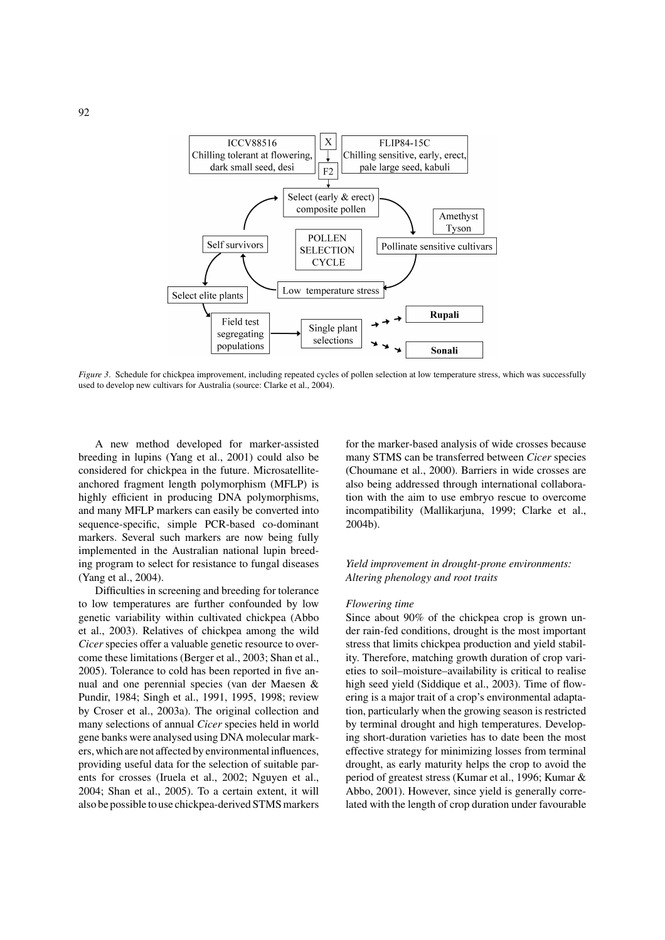

*Figure 3*. Schedule for chickpea improvement, including repeated cycles of pollen selection at low temperature stress, which was successfully used to develop new cultivars for Australia (source: Clarke et al., 2004).

A new method developed for marker-assisted breeding in lupins (Yang et al., 2001) could also be considered for chickpea in the future. Microsatelliteanchored fragment length polymorphism (MFLP) is highly efficient in producing DNA polymorphisms, and many MFLP markers can easily be converted into sequence-specific, simple PCR-based co-dominant markers. Several such markers are now being fully implemented in the Australian national lupin breeding program to select for resistance to fungal diseases (Yang et al., 2004).

Difficulties in screening and breeding for tolerance to low temperatures are further confounded by low genetic variability within cultivated chickpea (Abbo et al., 2003). Relatives of chickpea among the wild *Cicer* species offer a valuable genetic resource to overcome these limitations (Berger et al., 2003; Shan et al., 2005). Tolerance to cold has been reported in five annual and one perennial species (van der Maesen & Pundir, 1984; Singh et al., 1991, 1995, 1998; review by Croser et al., 2003a). The original collection and many selections of annual *Cicer* species held in world gene banks were analysed using DNA molecular markers, which are not affected by environmental influences, providing useful data for the selection of suitable parents for crosses (Iruela et al., 2002; Nguyen et al., 2004; Shan et al., 2005). To a certain extent, it will also be possible to use chickpea-derived STMS markers

for the marker-based analysis of wide crosses because many STMS can be transferred between *Cicer* species (Choumane et al., 2000). Barriers in wide crosses are also being addressed through international collaboration with the aim to use embryo rescue to overcome incompatibility (Mallikariuna, 1999; Clarke et al., 2004b).

# *Yield improvement in drought-prone environments: Altering phenology and root traits*

#### *Flowering time*

Since about 90% of the chickpea crop is grown under rain-fed conditions, drought is the most important stress that limits chickpea production and yield stability. Therefore, matching growth duration of crop varieties to soil–moisture–availability is critical to realise high seed yield (Siddique et al., 2003). Time of flowering is a major trait of a crop's environmental adaptation, particularly when the growing season is restricted by terminal drought and high temperatures. Developing short-duration varieties has to date been the most effective strategy for minimizing losses from terminal drought, as early maturity helps the crop to avoid the period of greatest stress (Kumar et al., 1996; Kumar & Abbo, 2001). However, since yield is generally correlated with the length of crop duration under favourable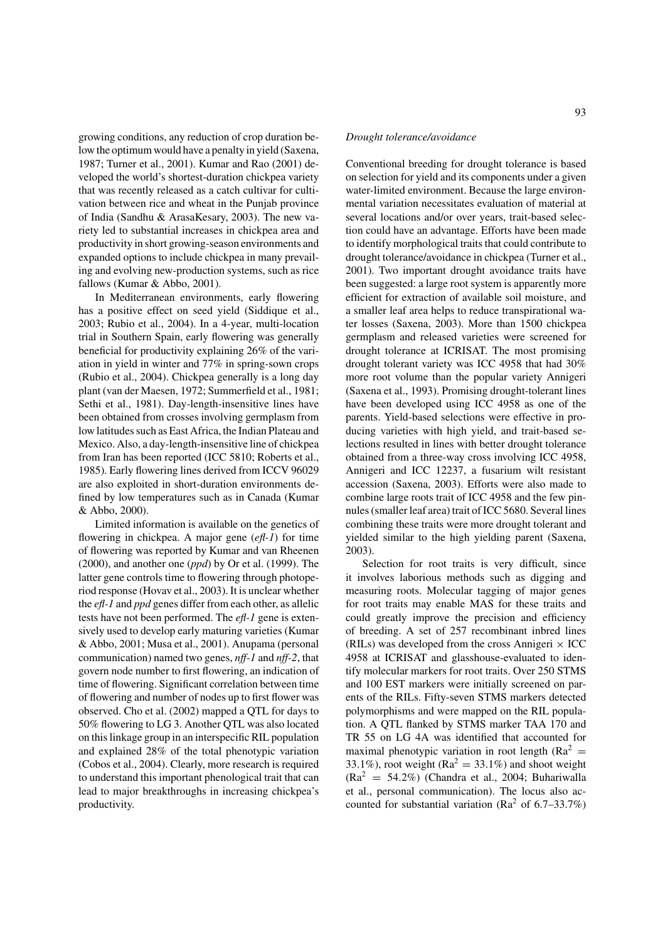growing conditions, any reduction of crop duration below the optimum would have a penalty in yield (Saxena, 1987; Turner et al., 2001). Kumar and Rao (2001) developed the world's shortest-duration chickpea variety that was recently released as a catch cultivar for cultivation between rice and wheat in the Punjab province of India (Sandhu & ArasaKesary, 2003). The new variety led to substantial increases in chickpea area and productivity in short growing-season environments and expanded options to include chickpea in many prevailing and evolving new-production systems, such as rice fallows (Kumar & Abbo, 2001).

In Mediterranean environments, early flowering has a positive effect on seed yield (Siddique et al., 2003; Rubio et al., 2004). In a 4-year, multi-location trial in Southern Spain, early flowering was generally beneficial for productivity explaining 26% of the variation in yield in winter and 77% in spring-sown crops (Rubio et al., 2004). Chickpea generally is a long day plant (van der Maesen, 1972; Summerfield et al., 1981; Sethi et al., 1981). Day-length-insensitive lines have been obtained from crosses involving germplasm from low latitudes such as East Africa, the Indian Plateau and Mexico. Also, a day-length-insensitive line of chickpea from Iran has been reported (ICC 5810; Roberts et al., 1985). Early flowering lines derived from ICCV 96029 are also exploited in short-duration environments defined by low temperatures such as in Canada (Kumar & Abbo, 2000).

Limited information is available on the genetics of flowering in chickpea. A major gene (*efl-1*) for time of flowering was reported by Kumar and van Rheenen (2000), and another one (*ppd*) by Or et al. (1999). The latter gene controls time to flowering through photoperiod response (Hovav et al., 2003). It is unclear whether the *efl-1* and *ppd* genes differ from each other, as allelic tests have not been performed. The *efl-1* gene is extensively used to develop early maturing varieties (Kumar & Abbo, 2001; Musa et al., 2001). Anupama (personal communication) named two genes, *nff-1* and *nff-2*, that govern node number to first flowering, an indication of time of flowering. Significant correlation between time of flowering and number of nodes up to first flower was observed. Cho et al. (2002) mapped a QTL for days to 50% flowering to LG 3. Another QTL was also located on this linkage group in an interspecific RIL population and explained 28% of the total phenotypic variation (Cobos et al., 2004). Clearly, more research is required to understand this important phenological trait that can lead to major breakthroughs in increasing chickpea's productivity.

### *Drought tolerance/avoidance*

Conventional breeding for drought tolerance is based on selection for yield and its components under a given water-limited environment. Because the large environmental variation necessitates evaluation of material at several locations and/or over years, trait-based selection could have an advantage. Efforts have been made to identify morphological traits that could contribute to drought tolerance/avoidance in chickpea (Turner et al., 2001). Two important drought avoidance traits have been suggested: a large root system is apparently more efficient for extraction of available soil moisture, and a smaller leaf area helps to reduce transpirational water losses (Saxena, 2003). More than 1500 chickpea germplasm and released varieties were screened for drought tolerance at ICRISAT. The most promising drought tolerant variety was ICC 4958 that had 30% more root volume than the popular variety Annigeri (Saxena et al., 1993). Promising drought-tolerant lines have been developed using ICC 4958 as one of the parents. Yield-based selections were effective in producing varieties with high yield, and trait-based selections resulted in lines with better drought tolerance obtained from a three-way cross involving ICC 4958, Annigeri and ICC 12237, a fusarium wilt resistant accession (Saxena, 2003). Efforts were also made to combine large roots trait of ICC 4958 and the few pinnules (smaller leaf area) trait of ICC 5680. Several lines combining these traits were more drought tolerant and yielded similar to the high yielding parent (Saxena, 2003).

Selection for root traits is very difficult, since it involves laborious methods such as digging and measuring roots. Molecular tagging of major genes for root traits may enable MAS for these traits and could greatly improve the precision and efficiency of breeding. A set of 257 recombinant inbred lines (RILs) was developed from the cross Annigeri  $\times$  ICC 4958 at ICRISAT and glasshouse-evaluated to identify molecular markers for root traits. Over 250 STMS and 100 EST markers were initially screened on parents of the RILs. Fifty-seven STMS markers detected polymorphisms and were mapped on the RIL population. A QTL flanked by STMS marker TAA 170 and TR 55 on LG 4A was identified that accounted for maximal phenotypic variation in root length ( $Ra^2$  = 33.1%), root weight ( $Ra^2 = 33.1\%$ ) and shoot weight  $(Ra^2 = 54.2\%)$  (Chandra et al., 2004; Buhariwalla et al., personal communication). The locus also accounted for substantial variation ( $Ra^2$  of 6.7–33.7%)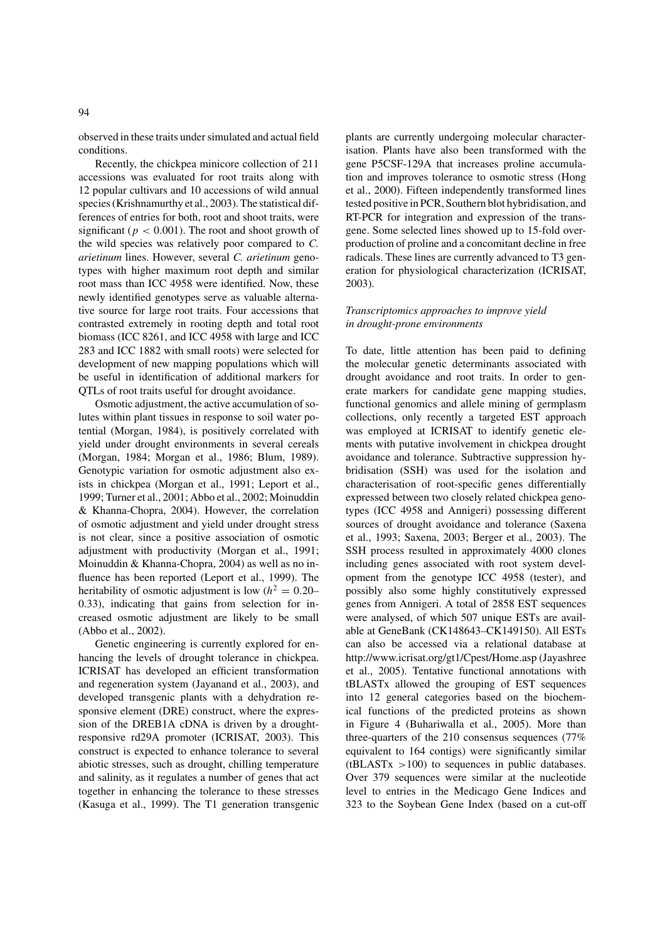observed in these traits under simulated and actual field conditions.

Recently, the chickpea minicore collection of 211 accessions was evaluated for root traits along with 12 popular cultivars and 10 accessions of wild annual species (Krishnamurthy et al., 2003). The statistical differences of entries for both, root and shoot traits, were significant ( $p < 0.001$ ). The root and shoot growth of the wild species was relatively poor compared to *C. arietinum* lines. However, several *C. arietinum* genotypes with higher maximum root depth and similar root mass than ICC 4958 were identified. Now, these newly identified genotypes serve as valuable alternative source for large root traits. Four accessions that contrasted extremely in rooting depth and total root biomass (ICC 8261, and ICC 4958 with large and ICC 283 and ICC 1882 with small roots) were selected for development of new mapping populations which will be useful in identification of additional markers for QTLs of root traits useful for drought avoidance.

Osmotic adjustment, the active accumulation of solutes within plant tissues in response to soil water potential (Morgan, 1984), is positively correlated with yield under drought environments in several cereals (Morgan, 1984; Morgan et al., 1986; Blum, 1989). Genotypic variation for osmotic adjustment also exists in chickpea (Morgan et al., 1991; Leport et al., 1999; Turner et al., 2001; Abbo et al., 2002; Moinuddin & Khanna-Chopra, 2004). However, the correlation of osmotic adjustment and yield under drought stress is not clear, since a positive association of osmotic adjustment with productivity (Morgan et al., 1991; Moinuddin & Khanna-Chopra, 2004) as well as no influence has been reported (Leport et al., 1999). The heritability of osmotic adjustment is low  $(h^2 = 0.20-$ 0.33), indicating that gains from selection for increased osmotic adjustment are likely to be small (Abbo et al., 2002).

Genetic engineering is currently explored for enhancing the levels of drought tolerance in chickpea. ICRISAT has developed an efficient transformation and regeneration system (Jayanand et al., 2003), and developed transgenic plants with a dehydration responsive element (DRE) construct, where the expression of the DREB1A cDNA is driven by a droughtresponsive rd29A promoter (ICRISAT, 2003). This construct is expected to enhance tolerance to several abiotic stresses, such as drought, chilling temperature and salinity, as it regulates a number of genes that act together in enhancing the tolerance to these stresses (Kasuga et al., 1999). The T1 generation transgenic

plants are currently undergoing molecular characterisation. Plants have also been transformed with the gene P5CSF-129A that increases proline accumulation and improves tolerance to osmotic stress (Hong et al., 2000). Fifteen independently transformed lines tested positive in PCR, Southern blot hybridisation, and RT-PCR for integration and expression of the transgene. Some selected lines showed up to 15-fold overproduction of proline and a concomitant decline in free radicals. These lines are currently advanced to T3 generation for physiological characterization (ICRISAT, 2003).

### *Transcriptomics approaches to improve yield in drought-prone environments*

To date, little attention has been paid to defining the molecular genetic determinants associated with drought avoidance and root traits. In order to generate markers for candidate gene mapping studies, functional genomics and allele mining of germplasm collections, only recently a targeted EST approach was employed at ICRISAT to identify genetic elements with putative involvement in chickpea drought avoidance and tolerance. Subtractive suppression hybridisation (SSH) was used for the isolation and characterisation of root-specific genes differentially expressed between two closely related chickpea genotypes (ICC 4958 and Annigeri) possessing different sources of drought avoidance and tolerance (Saxena et al., 1993; Saxena, 2003; Berger et al., 2003). The SSH process resulted in approximately 4000 clones including genes associated with root system development from the genotype ICC 4958 (tester), and possibly also some highly constitutively expressed genes from Annigeri. A total of 2858 EST sequences were analysed, of which 507 unique ESTs are available at GeneBank (CK148643–CK149150). All ESTs can also be accessed via a relational database at http://www.icrisat.org/gt1/Cpest/Home.asp (Jayashree et al., 2005). Tentative functional annotations with tBLASTx allowed the grouping of EST sequences into 12 general categories based on the biochemical functions of the predicted proteins as shown in Figure 4 (Buhariwalla et al., 2005). More than three-quarters of the 210 consensus sequences (77% equivalent to 164 contigs) were significantly similar  $(tBLASTx > 100)$  to sequences in public databases. Over 379 sequences were similar at the nucleotide level to entries in the Medicago Gene Indices and 323 to the Soybean Gene Index (based on a cut-off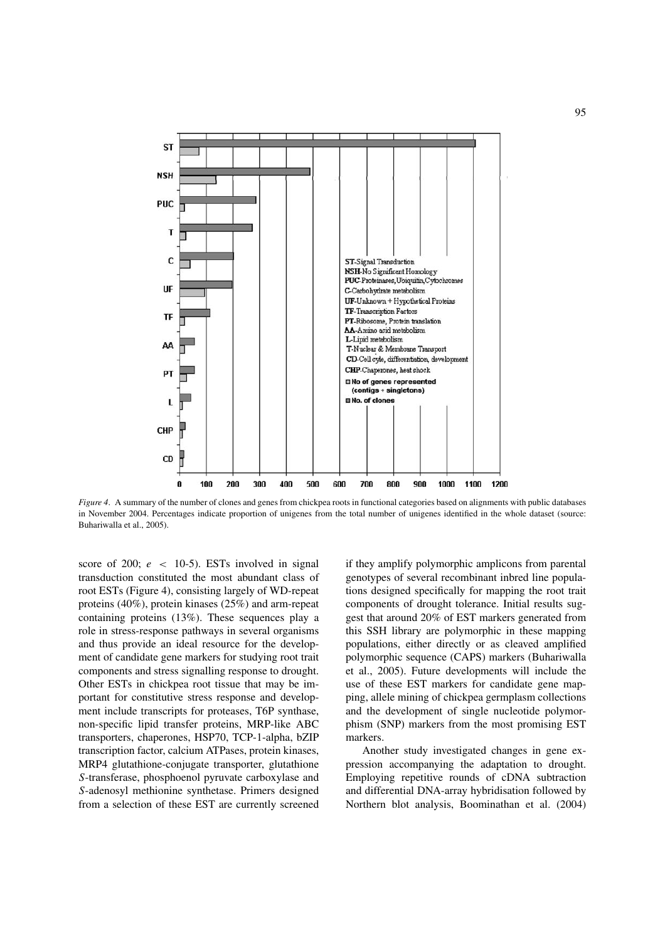

*Figure 4*. A summary of the number of clones and genes from chickpea roots in functional categories based on alignments with public databases in November 2004. Percentages indicate proportion of unigenes from the total number of unigenes identified in the whole dataset (source: Buhariwalla et al., 2005).

score of 200;  $e \, < 10-5$ ). ESTs involved in signal transduction constituted the most abundant class of root ESTs (Figure 4), consisting largely of WD-repeat proteins (40%), protein kinases (25%) and arm-repeat containing proteins (13%). These sequences play a role in stress-response pathways in several organisms and thus provide an ideal resource for the development of candidate gene markers for studying root trait components and stress signalling response to drought. Other ESTs in chickpea root tissue that may be important for constitutive stress response and development include transcripts for proteases, T6P synthase, non-specific lipid transfer proteins, MRP-like ABC transporters, chaperones, HSP70, TCP-1-alpha, bZIP transcription factor, calcium ATPases, protein kinases, MRP4 glutathione-conjugate transporter, glutathione *S*-transferase, phosphoenol pyruvate carboxylase and *S*-adenosyl methionine synthetase. Primers designed from a selection of these EST are currently screened

if they amplify polymorphic amplicons from parental genotypes of several recombinant inbred line populations designed specifically for mapping the root trait components of drought tolerance. Initial results suggest that around 20% of EST markers generated from this SSH library are polymorphic in these mapping populations, either directly or as cleaved amplified polymorphic sequence (CAPS) markers (Buhariwalla et al., 2005). Future developments will include the use of these EST markers for candidate gene mapping, allele mining of chickpea germplasm collections and the development of single nucleotide polymorphism (SNP) markers from the most promising EST markers.

Another study investigated changes in gene expression accompanying the adaptation to drought. Employing repetitive rounds of cDNA subtraction and differential DNA-array hybridisation followed by Northern blot analysis, Boominathan et al. (2004)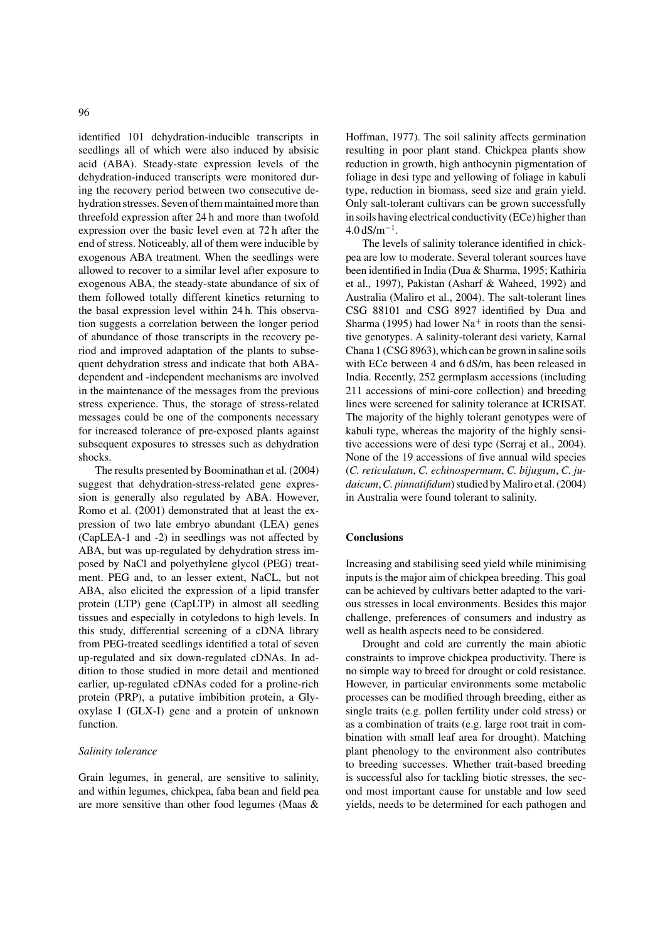identified 101 dehydration-inducible transcripts in seedlings all of which were also induced by absisic acid (ABA). Steady-state expression levels of the dehydration-induced transcripts were monitored during the recovery period between two consecutive dehydration stresses. Seven of them maintained more than threefold expression after 24 h and more than twofold expression over the basic level even at 72 h after the end of stress. Noticeably, all of them were inducible by exogenous ABA treatment. When the seedlings were allowed to recover to a similar level after exposure to exogenous ABA, the steady-state abundance of six of them followed totally different kinetics returning to the basal expression level within 24 h. This observation suggests a correlation between the longer period of abundance of those transcripts in the recovery period and improved adaptation of the plants to subsequent dehydration stress and indicate that both ABAdependent and -independent mechanisms are involved in the maintenance of the messages from the previous stress experience. Thus, the storage of stress-related messages could be one of the components necessary for increased tolerance of pre-exposed plants against subsequent exposures to stresses such as dehydration shocks.

The results presented by Boominathan et al. (2004) suggest that dehydration-stress-related gene expression is generally also regulated by ABA. However, Romo et al. (2001) demonstrated that at least the expression of two late embryo abundant (LEA) genes (CapLEA-1 and -2) in seedlings was not affected by ABA, but was up-regulated by dehydration stress imposed by NaCl and polyethylene glycol (PEG) treatment. PEG and, to an lesser extent, NaCL, but not ABA, also elicited the expression of a lipid transfer protein (LTP) gene (CapLTP) in almost all seedling tissues and especially in cotyledons to high levels. In this study, differential screening of a cDNA library from PEG-treated seedlings identified a total of seven up-regulated and six down-regulated cDNAs. In addition to those studied in more detail and mentioned earlier, up-regulated cDNAs coded for a proline-rich protein (PRP), a putative imbibition protein, a Glyoxylase I (GLX-I) gene and a protein of unknown function.

### *Salinity tolerance*

Grain legumes, in general, are sensitive to salinity, and within legumes, chickpea, faba bean and field pea are more sensitive than other food legumes (Maas &

Hoffman, 1977). The soil salinity affects germination resulting in poor plant stand. Chickpea plants show reduction in growth, high anthocynin pigmentation of foliage in desi type and yellowing of foliage in kabuli type, reduction in biomass, seed size and grain yield. Only salt-tolerant cultivars can be grown successfully in soils having electrical conductivity (ECe) higher than 4.0 dS/m<sup>−</sup>1.

The levels of salinity tolerance identified in chickpea are low to moderate. Several tolerant sources have been identified in India (Dua & Sharma, 1995; Kathiria et al., 1997), Pakistan (Asharf & Waheed, 1992) and Australia (Maliro et al., 2004). The salt-tolerant lines CSG 88101 and CSG 8927 identified by Dua and Sharma (1995) had lower  $Na<sup>+</sup>$  in roots than the sensitive genotypes. A salinity-tolerant desi variety, Karnal Chana 1 (CSG 8963), which can be grown in saline soils with ECe between 4 and 6 dS/m, has been released in India. Recently, 252 germplasm accessions (including 211 accessions of mini-core collection) and breeding lines were screened for salinity tolerance at ICRISAT. The majority of the highly tolerant genotypes were of kabuli type, whereas the majority of the highly sensitive accessions were of desi type (Serraj et al., 2004). None of the 19 accessions of five annual wild species (*C. reticulatum*, *C. echinospermum*, *C. bijugum*, *C. judaicum*,*C. pinnatifidum*) studied by Maliro et al. (2004) in Australia were found tolerant to salinity.

### **Conclusions**

Increasing and stabilising seed yield while minimising inputs is the major aim of chickpea breeding. This goal can be achieved by cultivars better adapted to the various stresses in local environments. Besides this major challenge, preferences of consumers and industry as well as health aspects need to be considered.

Drought and cold are currently the main abiotic constraints to improve chickpea productivity. There is no simple way to breed for drought or cold resistance. However, in particular environments some metabolic processes can be modified through breeding, either as single traits (e.g. pollen fertility under cold stress) or as a combination of traits (e.g. large root trait in combination with small leaf area for drought). Matching plant phenology to the environment also contributes to breeding successes. Whether trait-based breeding is successful also for tackling biotic stresses, the second most important cause for unstable and low seed yields, needs to be determined for each pathogen and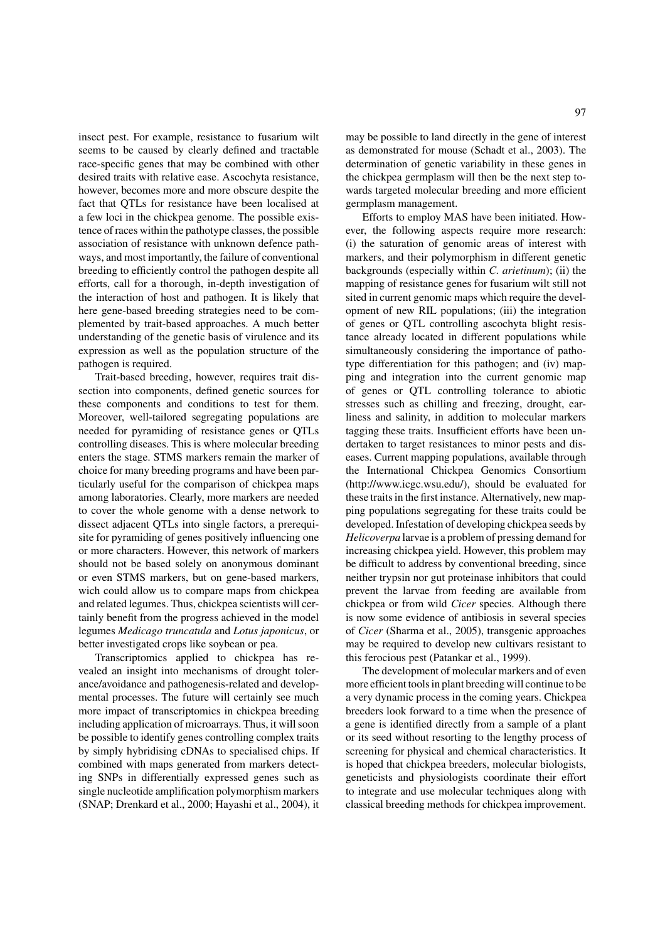insect pest. For example, resistance to fusarium wilt seems to be caused by clearly defined and tractable race-specific genes that may be combined with other desired traits with relative ease. Ascochyta resistance, however, becomes more and more obscure despite the fact that QTLs for resistance have been localised at a few loci in the chickpea genome. The possible existence of races within the pathotype classes, the possible association of resistance with unknown defence pathways, and most importantly, the failure of conventional breeding to efficiently control the pathogen despite all efforts, call for a thorough, in-depth investigation of the interaction of host and pathogen. It is likely that here gene-based breeding strategies need to be complemented by trait-based approaches. A much better understanding of the genetic basis of virulence and its expression as well as the population structure of the pathogen is required.

Trait-based breeding, however, requires trait dissection into components, defined genetic sources for these components and conditions to test for them. Moreover, well-tailored segregating populations are needed for pyramiding of resistance genes or QTLs controlling diseases. This is where molecular breeding enters the stage. STMS markers remain the marker of choice for many breeding programs and have been particularly useful for the comparison of chickpea maps among laboratories. Clearly, more markers are needed to cover the whole genome with a dense network to dissect adjacent QTLs into single factors, a prerequisite for pyramiding of genes positively influencing one or more characters. However, this network of markers should not be based solely on anonymous dominant or even STMS markers, but on gene-based markers, wich could allow us to compare maps from chickpea and related legumes. Thus, chickpea scientists will certainly benefit from the progress achieved in the model legumes *Medicago truncatula* and *Lotus japonicus*, or better investigated crops like soybean or pea.

Transcriptomics applied to chickpea has revealed an insight into mechanisms of drought tolerance/avoidance and pathogenesis-related and developmental processes. The future will certainly see much more impact of transcriptomics in chickpea breeding including application of microarrays. Thus, it will soon be possible to identify genes controlling complex traits by simply hybridising cDNAs to specialised chips. If combined with maps generated from markers detecting SNPs in differentially expressed genes such as single nucleotide amplification polymorphism markers (SNAP; Drenkard et al., 2000; Hayashi et al., 2004), it

may be possible to land directly in the gene of interest as demonstrated for mouse (Schadt et al., 2003). The determination of genetic variability in these genes in the chickpea germplasm will then be the next step towards targeted molecular breeding and more efficient germplasm management.

Efforts to employ MAS have been initiated. However, the following aspects require more research: (i) the saturation of genomic areas of interest with markers, and their polymorphism in different genetic backgrounds (especially within *C. arietinum*); (ii) the mapping of resistance genes for fusarium wilt still not sited in current genomic maps which require the development of new RIL populations; (iii) the integration of genes or QTL controlling ascochyta blight resistance already located in different populations while simultaneously considering the importance of pathotype differentiation for this pathogen; and (iv) mapping and integration into the current genomic map of genes or QTL controlling tolerance to abiotic stresses such as chilling and freezing, drought, earliness and salinity, in addition to molecular markers tagging these traits. Insufficient efforts have been undertaken to target resistances to minor pests and diseases. Current mapping populations, available through the International Chickpea Genomics Consortium (http://www.icgc.wsu.edu/), should be evaluated for these traits in the first instance. Alternatively, new mapping populations segregating for these traits could be developed. Infestation of developing chickpea seeds by *Helicoverpa* larvae is a problem of pressing demand for increasing chickpea yield. However, this problem may be difficult to address by conventional breeding, since neither trypsin nor gut proteinase inhibitors that could prevent the larvae from feeding are available from chickpea or from wild *Cicer* species. Although there is now some evidence of antibiosis in several species of *Cicer* (Sharma et al., 2005), transgenic approaches may be required to develop new cultivars resistant to this ferocious pest (Patankar et al., 1999).

The development of molecular markers and of even more efficient tools in plant breeding will continue to be a very dynamic process in the coming years. Chickpea breeders look forward to a time when the presence of a gene is identified directly from a sample of a plant or its seed without resorting to the lengthy process of screening for physical and chemical characteristics. It is hoped that chickpea breeders, molecular biologists, geneticists and physiologists coordinate their effort to integrate and use molecular techniques along with classical breeding methods for chickpea improvement.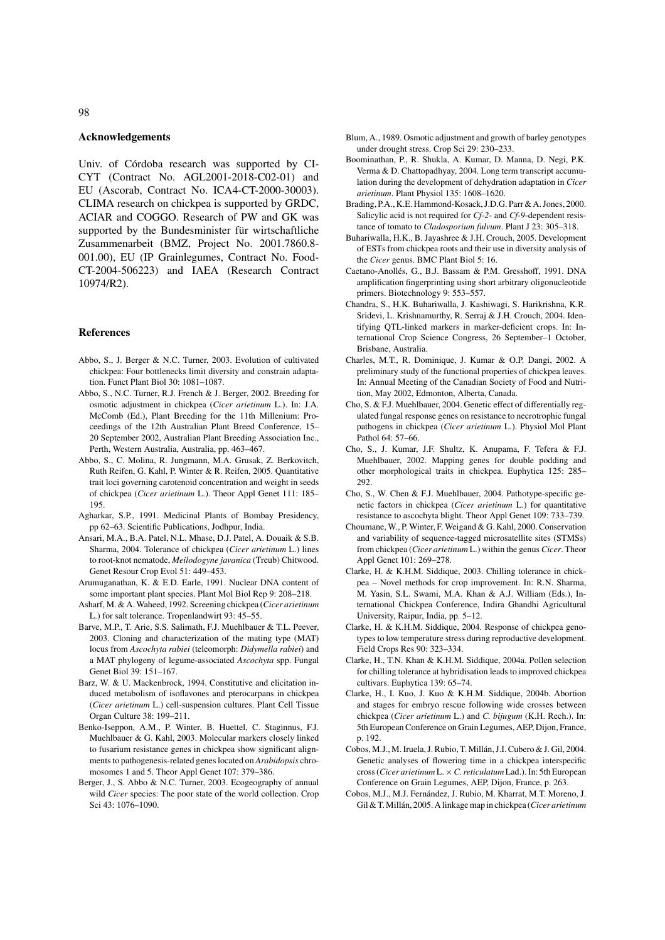#### **Acknowledgements**

Univ. of Córdoba research was supported by CI-CYT (Contract No. AGL2001-2018-C02-01) and EU (Ascorab, Contract No. ICA4-CT-2000-30003). CLIMA research on chickpea is supported by GRDC, ACIAR and COGGO. Research of PW and GK was supported by the Bundesminister für wirtschaftliche Zusammenarbeit (BMZ, Project No. 2001.7860.8- 001.00), EU (IP Grainlegumes, Contract No. Food-CT-2004-506223) and IAEA (Research Contract 10974/R2).

#### **References**

- Abbo, S., J. Berger & N.C. Turner, 2003. Evolution of cultivated chickpea: Four bottlenecks limit diversity and constrain adaptation. Funct Plant Biol 30: 1081–1087.
- Abbo, S., N.C. Turner, R.J. French & J. Berger, 2002. Breeding for osmotic adjustment in chickpea (*Cicer arietinum* L.). In: J.A. McComb (Ed.), Plant Breeding for the 11th Millenium: Proceedings of the 12th Australian Plant Breed Conference, 15– 20 September 2002, Australian Plant Breeding Association Inc., Perth, Western Australia, Australia, pp. 463–467.
- Abbo, S., C. Molina, R. Jungmann, M.A. Grusak, Z. Berkovitch, Ruth Reifen, G. Kahl, P. Winter & R. Reifen, 2005. Quantitative trait loci governing carotenoid concentration and weight in seeds of chickpea (*Cicer arietinum* L.). Theor Appl Genet 111: 185– 195.
- Agharkar, S.P., 1991. Medicinal Plants of Bombay Presidency, pp 62–63. Scientific Publications, Jodhpur, India.
- Ansari, M.A., B.A. Patel, N.L. Mhase, D.J. Patel, A. Douaik & S.B. Sharma, 2004. Tolerance of chickpea (*Cicer arietinum* L.) lines to root-knot nematode, *Meilodogyne javanica* (Treub) Chitwood. Genet Resour Crop Evol 51: 449–453.
- Arumuganathan, K. & E.D. Earle, 1991. Nuclear DNA content of some important plant species. Plant Mol Biol Rep 9: 208–218.
- Asharf, M. & A. Waheed, 1992. Screening chickpea (*Cicer arietinum* L.) for salt tolerance. Tropenlandwirt 93: 45–55.
- Barve, M.P., T. Arie, S.S. Salimath, F.J. Muehlbauer & T.L. Peever, 2003. Cloning and characterization of the mating type (MAT) locus from *Ascochyta rabiei* (teleomorph: *Didymella rabiei*) and a MAT phylogeny of legume-associated *Ascochyta* spp. Fungal Genet Biol 39: 151–167.
- Barz, W. & U. Mackenbrock, 1994. Constitutive and elicitation induced metabolism of isoflavones and pterocarpans in chickpea (*Cicer arietinum* L.) cell-suspension cultures. Plant Cell Tissue Organ Culture 38: 199–211.
- Benko-Iseppon, A.M., P. Winter, B. Huettel, C. Staginnus, F.J. Muehlbauer & G. Kahl, 2003. Molecular markers closely linked to fusarium resistance genes in chickpea show significant alignments to pathogenesis-related genes located on *Arabidopsis* chromosomes 1 and 5. Theor Appl Genet 107: 379–386.
- Berger, J., S. Abbo & N.C. Turner, 2003. Ecogeography of annual wild *Cicer* species: The poor state of the world collection. Crop Sci 43: 1076–1090.
- Blum, A., 1989. Osmotic adjustment and growth of barley genotypes under drought stress. Crop Sci 29: 230–233.
- Boominathan, P., R. Shukla, A. Kumar, D. Manna, D. Negi, P.K. Verma & D. Chattopadhyay, 2004. Long term transcript accumulation during the development of dehydration adaptation in *Cicer arietinum*. Plant Physiol 135: 1608–1620.
- Brading, P.A., K.E. Hammond-Kosack, J.D.G. Parr & A. Jones, 2000. Salicylic acid is not required for *Cf-2*- and *Cf-9*-dependent resistance of tomato to *Cladosporium fulvum*. Plant J 23: 305–318.
- Buhariwalla, H.K., B. Jayashree & J.H. Crouch, 2005. Development of ESTs from chickpea roots and their use in diversity analysis of the *Cicer* genus. BMC Plant Biol 5: 16.
- Caetano-Anollés, G., B.J. Bassam & P.M. Gresshoff, 1991. DNA amplification fingerprinting using short arbitrary oligonucleotide primers. Biotechnology 9: 553–557.
- Chandra, S., H.K. Buhariwalla, J. Kashiwagi, S. Harikrishna, K.R. Sridevi, L. Krishnamurthy, R. Serraj & J.H. Crouch, 2004. Identifving OTL-linked markers in marker-deficient crops. In: International Crop Science Congress, 26 September–1 October, Brisbane, Australia.
- Charles, M.T., R. Dominique, J. Kumar & O.P. Dangi, 2002. A preliminary study of the functional properties of chickpea leaves. In: Annual Meeting of the Canadian Society of Food and Nutrition, May 2002, Edmonton, Alberta, Canada.
- Cho, S. & F.J. Muehlbauer, 2004. Genetic effect of differentially regulated fungal response genes on resistance to necrotrophic fungal pathogens in chickpea (*Cicer arietinum* L.). Physiol Mol Plant Pathol 64: 57–66.
- Cho, S., J. Kumar, J.F. Shultz, K. Anupama, F. Tefera & F.J. Muehlbauer, 2002. Mapping genes for double podding and other morphological traits in chickpea. Euphytica 125: 285– 292.
- Cho, S., W. Chen & F.J. Muehlbauer, 2004. Pathotype-specific genetic factors in chickpea (*Cicer arietinum* L.) for quantitative resistance to ascochyta blight. Theor Appl Genet 109: 733–739.
- Choumane, W., P. Winter, F. Weigand & G. Kahl, 2000. Conservation and variability of sequence-tagged microsatellite sites (STMSs) from chickpea (*Cicer arietinum* L.) within the genus *Cicer*. Theor Appl Genet 101: 269–278.
- Clarke, H. & K.H.M. Siddique, 2003. Chilling tolerance in chickpea – Novel methods for crop improvement. In: R.N. Sharma, M. Yasin, S.L. Swami, M.A. Khan & A.J. William (Eds.), International Chickpea Conference, Indira Ghandhi Agricultural University, Raipur, India, pp. 5–12.
- Clarke, H. & K.H.M. Siddique, 2004. Response of chickpea genotypes to low temperature stress during reproductive development. Field Crops Res 90: 323–334.
- Clarke, H., T.N. Khan & K.H.M. Siddique, 2004a. Pollen selection for chilling tolerance at hybridisation leads to improved chickpea cultivars. Euphytica 139: 65–74.
- Clarke, H., I. Kuo, J. Kuo & K.H.M. Siddique, 2004b. Abortion and stages for embryo rescue following wide crosses between chickpea (*Cicer arietinum* L.) and *C. bijugum* (K.H. Rech.). In: 5th European Conference on Grain Legumes, AEP, Dijon, France, p. 192.
- Cobos, M.J., M. Iruela, J. Rubio, T. Millán, J.I. Cubero & J. Gil, 2004. Genetic analyses of flowering time in a chickpea interspecific cross (*Cicer arietinum* L.×*C. reticulatum* Lad.). In: 5th European Conference on Grain Legumes, AEP, Dijon, France, p. 263.
- Cobos, M.J., M.J. Fernández, J. Rubio, M. Kharrat, M.T. Moreno, J. Gil & T. Millán, 2005. A linkage map in chickpea (*Cicer arietinum*

#### 98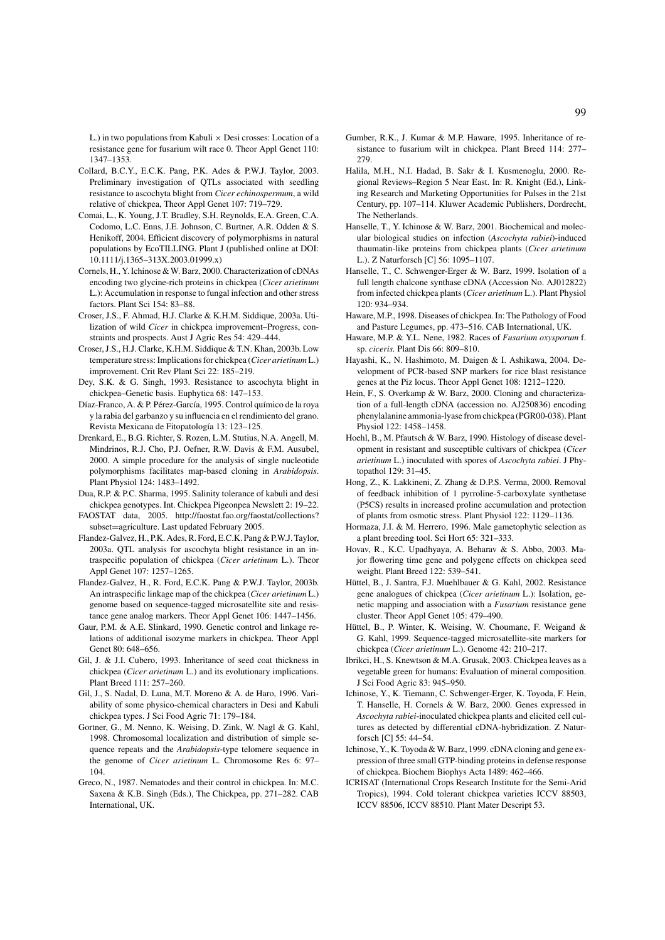L.) in two populations from Kabuli  $\times$  Desi crosses: Location of a resistance gene for fusarium wilt race 0. Theor Appl Genet 110: 1347–1353.

- Collard, B.C.Y., E.C.K. Pang, P.K. Ades & P.W.J. Taylor, 2003. Preliminary investigation of QTLs associated with seedling resistance to ascochyta blight from *Cicer echinospermum*, a wild relative of chickpea, Theor Appl Genet 107: 719–729.
- Comai, L., K. Young, J.T. Bradley, S.H. Reynolds, E.A. Green, C.A. Codomo, L.C. Enns, J.E. Johnson, C. Burtner, A.R. Odden & S. Henikoff, 2004. Efficient discovery of polymorphisms in natural populations by EcoTILLING. Plant J (published online at DOI: 10.1111/j.1365–313X.2003.01999.x)
- Cornels, H., Y. Ichinose & W. Barz, 2000. Characterization of cDNAs encoding two glycine-rich proteins in chickpea (*Cicer arietinum* L.): Accumulation in response to fungal infection and other stress factors. Plant Sci 154: 83–88.
- Croser, J.S., F. Ahmad, H.J. Clarke & K.H.M. Siddique, 2003a. Utilization of wild *Cicer* in chickpea improvement–Progress, constraints and prospects. Aust J Agric Res 54: 429–444.
- Croser, J.S., H.J. Clarke, K.H.M. Siddique & T.N. Khan, 2003b. Low temperature stress: Implications for chickpea (*Cicer arietinum* L.) improvement. Crit Rev Plant Sci 22: 185–219.
- Dey, S.K. & G. Singh, 1993. Resistance to ascochyta blight in chickpea–Genetic basis. Euphytica 68: 147–153.
- Díaz-Franco, A. & P. Pérez-García, 1995. Control químico de la roya y la rabia del garbanzo y su influencia en el rendimiento del grano. Revista Mexicana de Fitopatología 13: 123–125.
- Drenkard, E., B.G. Richter, S. Rozen, L.M. Stutius, N.A. Angell, M. Mindrinos, R.J. Cho, P.J. Oefner, R.W. Davis & F.M. Ausubel, 2000. A simple procedure for the analysis of single nucleotide polymorphisms facilitates map-based cloning in *Arabidopsis*. Plant Physiol 124: 1483–1492.
- Dua, R.P. & P.C. Sharma, 1995. Salinity tolerance of kabuli and desi chickpea genotypes. Int. Chickpea Pigeonpea Newslett 2: 19–22.
- FAOSTAT data, 2005. http://faostat.fao.org/faostat/collections? subset=agriculture. Last updated February 2005.
- Flandez-Galvez, H., P.K. Ades, R. Ford, E.C.K. Pang & P.W.J. Taylor, 2003a. QTL analysis for ascochyta blight resistance in an intraspecific population of chickpea (*Cicer arietinum* L.). Theor Appl Genet 107: 1257–1265.
- Flandez-Galvez, H., R. Ford, E.C.K. Pang & P.W.J. Taylor, 2003b. An intraspecific linkage map of the chickpea (*Cicer arietinum* L.) genome based on sequence-tagged microsatellite site and resistance gene analog markers. Theor Appl Genet 106: 1447–1456.
- Gaur, P.M. & A.E. Slinkard, 1990. Genetic control and linkage relations of additional isozyme markers in chickpea. Theor Appl Genet 80: 648–656.
- Gil, J. & J.I. Cubero, 1993. Inheritance of seed coat thickness in chickpea (*Cicer arietinum* L.) and its evolutionary implications. Plant Breed 111: 257–260.
- Gil, J., S. Nadal, D. Luna, M.T. Moreno & A. de Haro, 1996. Variability of some physico-chemical characters in Desi and Kabuli chickpea types. J Sci Food Agric 71: 179–184.
- Gortner, G., M. Nenno, K. Weising, D. Zink, W. Nagl & G. Kahl, 1998. Chromosomal localization and distribution of simple sequence repeats and the *Arabidopsis*-type telomere sequence in the genome of *Cicer arietinum* L. Chromosome Res 6: 97– 104.
- Greco, N., 1987. Nematodes and their control in chickpea. In: M.C. Saxena & K.B. Singh (Eds.), The Chickpea, pp. 271–282. CAB International, UK.
- Gumber, R.K., J. Kumar & M.P. Haware, 1995. Inheritance of resistance to fusarium wilt in chickpea. Plant Breed 114: 277– 279.
- Halila, M.H., N.I. Hadad, B. Sakr & I. Kusmenoglu, 2000. Regional Reviews–Region 5 Near East. In: R. Knight (Ed.), Linking Research and Marketing Opportunities for Pulses in the 21st Century, pp. 107–114. Kluwer Academic Publishers, Dordrecht, The Netherlands.
- Hanselle, T., Y. Ichinose & W. Barz, 2001. Biochemical and molecular biological studies on infection (*Ascochyta rabiei*)-induced thaumatin-like proteins from chickpea plants (*Cicer arietinum* L.). Z Naturforsch [C] 56: 1095–1107.
- Hanselle, T., C. Schwenger-Erger & W. Barz, 1999. Isolation of a full length chalcone synthase cDNA (Accession No. AJ012822) from infected chickpea plants (*Cicer arietinum* L.). Plant Physiol 120: 934–934.
- Haware, M.P., 1998. Diseases of chickpea. In: The Pathology of Food and Pasture Legumes, pp. 473–516. CAB International, UK.
- Haware, M.P. & Y.L. Nene, 1982. Races of *Fusarium oxysporum* f. sp. *ciceris.* Plant Dis 66: 809–810.
- Hayashi, K., N. Hashimoto, M. Daigen & I. Ashikawa, 2004. Development of PCR-based SNP markers for rice blast resistance genes at the Piz locus. Theor Appl Genet 108: 1212–1220.
- Hein, F., S. Overkamp & W. Barz, 2000. Cloning and characterization of a full-length cDNA (accession no. AJ250836) encoding phenylalanine ammonia-lyase from chickpea (PGR00-038). Plant Physiol 122: 1458–1458.
- Hoehl, B., M. Pfautsch & W. Barz, 1990. Histology of disease development in resistant and susceptible cultivars of chickpea (*Cicer arietinum* L.) inoculated with spores of *Ascochyta rabiei*. J Phytopathol 129: 31–45.
- Hong, Z., K. Lakkineni, Z. Zhang & D.P.S. Verma, 2000. Removal of feedback inhibition of 1 pyrroline-5-carboxylate synthetase (P5CS) results in increased proline accumulation and protection of plants from osmotic stress. Plant Physiol 122: 1129–1136.
- Hormaza, J.I. & M. Herrero, 1996. Male gametophytic selection as a plant breeding tool. Sci Hort 65: 321–333.
- Hovav, R., K.C. Upadhyaya, A. Beharav & S. Abbo, 2003. Major flowering time gene and polygene effects on chickpea seed weight. Plant Breed 122: 539–541.
- Hüttel, B., J. Santra, F.J. Muehlbauer & G. Kahl, 2002. Resistance gene analogues of chickpea (*Cicer arietinum* L.): Isolation, genetic mapping and association with a *Fusarium* resistance gene cluster. Theor Appl Genet 105: 479–490.
- Hüttel, B., P. Winter, K. Weising, W. Choumane, F. Weigand & G. Kahl, 1999. Sequence-tagged microsatellite-site markers for chickpea (*Cicer arietinum* L.). Genome 42: 210–217.
- Ibrikci, H., S. Knewtson & M.A. Grusak, 2003. Chickpea leaves as a vegetable green for humans: Evaluation of mineral composition. J Sci Food Agric 83: 945–950.
- Ichinose, Y., K. Tiemann, C. Schwenger-Erger, K. Toyoda, F. Hein, T. Hanselle, H. Cornels & W. Barz, 2000. Genes expressed in *Ascochyta rabiei*-inoculated chickpea plants and elicited cell cultures as detected by differential cDNA-hybridization. Z Naturforsch [C] 55: 44–54.
- Ichinose, Y., K. Toyoda & W. Barz, 1999. cDNA cloning and gene expression of three small GTP-binding proteins in defense response of chickpea. Biochem Biophys Acta 1489: 462–466.
- ICRISAT (International Crops Research Institute for the Semi-Arid Tropics), 1994. Cold tolerant chickpea varieties ICCV 88503, ICCV 88506, ICCV 88510. Plant Mater Descript 53.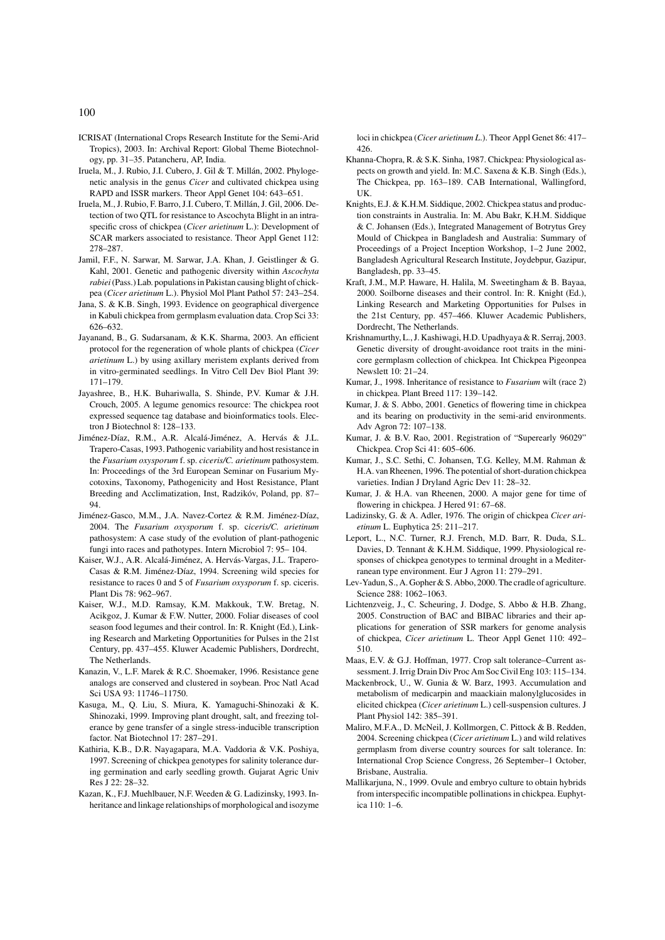- ICRISAT (International Crops Research Institute for the Semi-Arid Tropics), 2003. In: Archival Report: Global Theme Biotechnology, pp. 31–35. Patancheru, AP, India.
- Iruela, M., J. Rubio, J.I. Cubero, J. Gil & T. Millán, 2002. Phylogenetic analysis in the genus *Cicer* and cultivated chickpea using RAPD and ISSR markers. Theor Appl Genet 104: 643–651.
- Iruela, M., J. Rubio, F. Barro, J.I. Cubero, T. Millán, J. Gil, 2006. Detection of two QTL for resistance to Ascochyta Blight in an intraspecific cross of chickpea (*Cicer arietinum* L.): Development of SCAR markers associated to resistance. Theor Appl Genet 112: 278–287.
- Jamil, F.F., N. Sarwar, M. Sarwar, J.A. Khan, J. Geistlinger & G. Kahl, 2001. Genetic and pathogenic diversity within *Ascochyta rabiei*(Pass.) Lab. populations in Pakistan causing blight of chickpea (*Cicer arietinum* L.). Physiol Mol Plant Pathol 57: 243–254.
- Jana, S. & K.B. Singh, 1993. Evidence on geographical divergence in Kabuli chickpea from germplasm evaluation data. Crop Sci 33: 626–632.
- Jayanand, B., G. Sudarsanam, & K.K. Sharma, 2003. An efficient protocol for the regeneration of whole plants of chickpea (*Cicer arietinum* L.) by using axillary meristem explants derived from in vitro-germinated seedlings. In Vitro Cell Dev Biol Plant 39: 171–179.
- Jayashree, B., H.K. Buhariwalla, S. Shinde, P.V. Kumar & J.H. Crouch, 2005. A legume genomics resource: The chickpea root expressed sequence tag database and bioinformatics tools. Electron J Biotechnol 8: 128–133.
- Jiménez-Díaz, R.M., A.R. Alcalá-Jiménez, A. Hervás & J.L. Trapero-Casas, 1993. Pathogenic variability and host resistance in the *Fusarium oxysporum* f. sp. *ciceris/C. arietinum* pathosystem. In: Proceedings of the 3rd European Seminar on Fusarium Mycotoxins, Taxonomy, Pathogenicity and Host Resistance, Plant Breeding and Acclimatization, Inst, Radzikóv, Poland, pp. 87– 94.
- Jiménez-Gasco, M.M., J.A. Navez-Cortez & R.M. Jiménez-Díaz, 2004. The *Fusarium oxysporum* f. sp. c*iceris/C. arietinum* pathosystem: A case study of the evolution of plant-pathogenic fungi into races and pathotypes. Intern Microbiol 7: 95– 104.
- Kaiser, W.J., A.R. Alcalá-Jiménez, A. Hervás-Vargas, J.L. Trapero-Casas & R.M. Jiménez-Díaz, 1994. Screening wild species for resistance to races 0 and 5 of *Fusarium oxysporum* f. sp. ciceris. Plant Dis 78: 962–967.
- Kaiser, W.J., M.D. Ramsay, K.M. Makkouk, T.W. Bretag, N. Acikgoz, J. Kumar & F.W. Nutter, 2000. Foliar diseases of cool season food legumes and their control. In: R. Knight (Ed.), Linking Research and Marketing Opportunities for Pulses in the 21st Century, pp. 437–455. Kluwer Academic Publishers, Dordrecht, The Netherlands.
- Kanazin, V., L.F. Marek & R.C. Shoemaker, 1996. Resistance gene analogs are conserved and clustered in soybean. Proc Natl Acad Sci USA 93: 11746–11750.
- Kasuga, M., Q. Liu, S. Miura, K. Yamaguchi-Shinozaki & K. Shinozaki, 1999. Improving plant drought, salt, and freezing tolerance by gene transfer of a single stress-inducible transcription factor. Nat Biotechnol 17: 287–291.
- Kathiria, K.B., D.R. Nayagapara, M.A. Vaddoria & V.K. Poshiya, 1997. Screening of chickpea genotypes for salinity tolerance during germination and early seedling growth. Gujarat Agric Univ Res J 22: 28–32.
- Kazan, K., F.J. Muehlbauer, N.F. Weeden & G. Ladizinsky, 1993. Inheritance and linkage relationships of morphological and isozyme

loci in chickpea (*Cicer arietinum L*.). Theor Appl Genet 86: 417– 426.

- Khanna-Chopra, R. & S.K. Sinha, 1987. Chickpea: Physiological aspects on growth and yield. In: M.C. Saxena & K.B. Singh (Eds.), The Chickpea, pp. 163–189. CAB International, Wallingford, UK.
- Knights, E.J. & K.H.M. Siddique, 2002. Chickpea status and production constraints in Australia. In: M. Abu Bakr, K.H.M. Siddique & C. Johansen (Eds.), Integrated Management of Botrytus Grey Mould of Chickpea in Bangladesh and Australia: Summary of Proceedings of a Project Inception Workshop, 1–2 June 2002, Bangladesh Agricultural Research Institute, Joydebpur, Gazipur, Bangladesh, pp. 33–45.
- Kraft, J.M., M.P. Haware, H. Halila, M. Sweetingham & B. Bayaa, 2000. Soilborne diseases and their control. In: R. Knight (Ed.), Linking Research and Marketing Opportunities for Pulses in the 21st Century, pp. 457–466. Kluwer Academic Publishers, Dordrecht, The Netherlands.
- Krishnamurthy, L., J. Kashiwagi, H.D. Upadhyaya & R. Serraj, 2003. Genetic diversity of drought-avoidance root traits in the minicore germplasm collection of chickpea. Int Chickpea Pigeonpea Newslett 10: 21–24.
- Kumar, J., 1998. Inheritance of resistance to *Fusarium* wilt (race 2) in chickpea. Plant Breed 117: 139–142.
- Kumar, J. & S. Abbo, 2001. Genetics of flowering time in chickpea and its bearing on productivity in the semi-arid environments. Adv Agron 72: 107–138.
- Kumar, J. & B.V. Rao, 2001. Registration of "Superearly 96029" Chickpea. Crop Sci 41: 605–606.
- Kumar, J., S.C. Sethi, C. Johansen, T.G. Kelley, M.M. Rahman & H.A. van Rheenen, 1996. The potential of short-duration chickpea varieties. Indian J Dryland Agric Dev 11: 28–32.
- Kumar, J. & H.A. van Rheenen, 2000. A major gene for time of flowering in chickpea. J Hered 91: 67-68.
- Ladizinsky, G. & A. Adler, 1976. The origin of chickpea *Cicer arietinum* L. Euphytica 25: 211–217.
- Leport, L., N.C. Turner, R.J. French, M.D. Barr, R. Duda, S.L. Davies, D. Tennant & K.H.M. Siddique, 1999. Physiological responses of chickpea genotypes to terminal drought in a Mediterranean type environment. Eur J Agron 11: 279–291.
- Lev-Yadun, S., A. Gopher & S. Abbo, 2000. The cradle of agriculture. Science 288: 1062–1063.
- Lichtenzveig, J., C. Scheuring, J. Dodge, S. Abbo & H.B. Zhang, 2005. Construction of BAC and BIBAC libraries and their applications for generation of SSR markers for genome analysis of chickpea, *Cicer arietinum* L. Theor Appl Genet 110: 492– 510.
- Maas, E.V. & G.J. Hoffman, 1977. Crop salt tolerance–Current assessment. J. Irrig Drain Div Proc Am Soc Civil Eng 103: 115–134.
- Mackenbrock, U., W. Gunia & W. Barz, 1993. Accumulation and metabolism of medicarpin and maackiain malonylglucosides in elicited chickpea (*Cicer arietinum* L.) cell-suspension cultures. J Plant Physiol 142: 385–391.
- Maliro, M.F.A., D. McNeil, J. Kollmorgen, C. Pittock & B. Redden, 2004. Screening chickpea (*Cicer arietinum* L.) and wild relatives germplasm from diverse country sources for salt tolerance. In: International Crop Science Congress, 26 September–1 October, Brisbane, Australia.
- Mallikarjuna, N., 1999. Ovule and embryo culture to obtain hybrids from interspecific incompatible pollinations in chickpea. Euphytica 110: 1–6.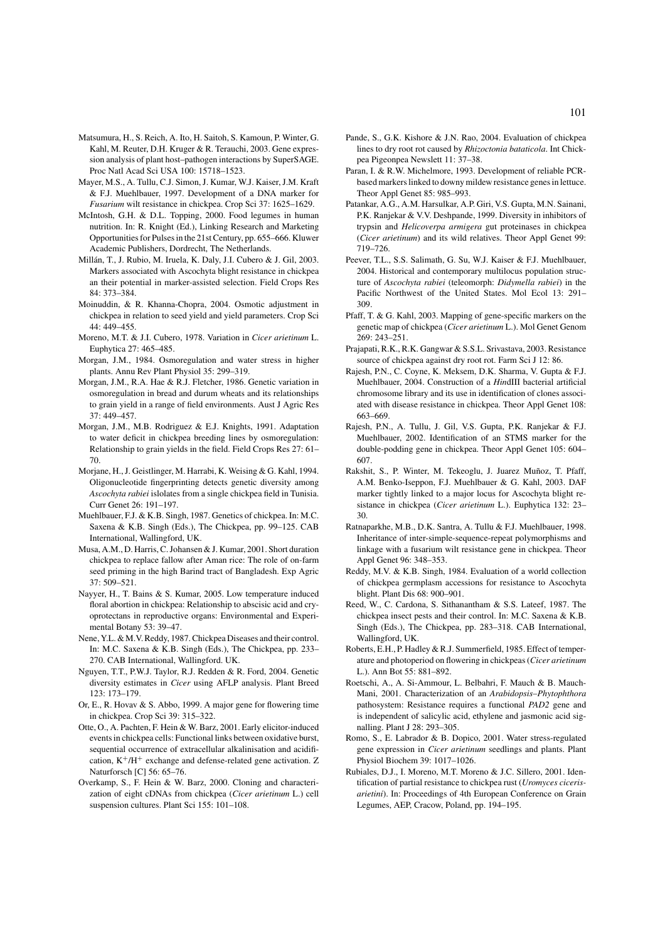- Matsumura, H., S. Reich, A. Ito, H. Saitoh, S. Kamoun, P. Winter, G. Kahl, M. Reuter, D.H. Kruger & R. Terauchi, 2003. Gene expression analysis of plant host–pathogen interactions by SuperSAGE. Proc Natl Acad Sci USA 100: 15718–1523.
- Mayer, M.S., A. Tullu, C.J. Simon, J. Kumar, W.J. Kaiser, J.M. Kraft & F.J. Muehlbauer, 1997. Development of a DNA marker for *Fusarium* wilt resistance in chickpea. Crop Sci 37: 1625–1629.
- McIntosh, G.H. & D.L. Topping, 2000. Food legumes in human nutrition. In: R. Knight (Ed.), Linking Research and Marketing Opportunities for Pulses in the 21st Century, pp. 655–666. Kluwer Academic Publishers, Dordrecht, The Netherlands.
- Millán, T., J. Rubio, M. Iruela, K. Daly, J.I. Cubero & J. Gil, 2003. Markers associated with Ascochyta blight resistance in chickpea an their potential in marker-assisted selection. Field Crops Res 84: 373–384.
- Moinuddin, & R. Khanna-Chopra, 2004. Osmotic adjustment in chickpea in relation to seed yield and yield parameters. Crop Sci  $44 \cdot 449 - 455$
- Moreno, M.T. & J.I. Cubero, 1978. Variation in *Cicer arietinum* L. Euphytica 27: 465–485.
- Morgan, J.M., 1984. Osmoregulation and water stress in higher plants. Annu Rev Plant Physiol 35: 299–319.
- Morgan, J.M., R.A. Hae & R.J. Fletcher, 1986. Genetic variation in osmoregulation in bread and durum wheats and its relationships to grain yield in a range of field environments. Aust J Agric Res 37: 449–457.
- Morgan, J.M., M.B. Rodriguez & E.J. Knights, 1991. Adaptation to water deficit in chickpea breeding lines by osmoregulation: Relationship to grain yields in the field. Field Crops Res 27: 61– 70.
- Morjane, H., J. Geistlinger, M. Harrabi, K. Weising & G. Kahl, 1994. Oligonucleotide fingerprinting detects genetic diversity among *Ascochyta rabiei* islolates from a single chickpea field in Tunisia. Curr Genet 26: 191–197.
- Muehlbauer, F.J. & K.B. Singh, 1987. Genetics of chickpea. In: M.C. Saxena & K.B. Singh (Eds.), The Chickpea, pp. 99–125. CAB International, Wallingford, UK.
- Musa, A.M., D. Harris, C. Johansen & J. Kumar, 2001. Short duration chickpea to replace fallow after Aman rice: The role of on-farm seed priming in the high Barind tract of Bangladesh. Exp Agric 37: 509–521.
- Nayyer, H., T. Bains & S. Kumar, 2005. Low temperature induced floral abortion in chickpea: Relationship to abscisic acid and cryoprotectans in reproductive organs: Environmental and Experimental Botany 53: 39–47.
- Nene, Y.L. & M.V. Reddy, 1987. Chickpea Diseases and their control. In: M.C. Saxena & K.B. Singh (Eds.), The Chickpea, pp. 233– 270. CAB International, Wallingford. UK.
- Nguyen, T.T., P.W.J. Taylor, R.J. Redden & R. Ford, 2004. Genetic diversity estimates in *Cicer* using AFLP analysis. Plant Breed 123: 173–179.
- Or, E., R. Hovav & S. Abbo, 1999. A major gene for flowering time in chickpea. Crop Sci 39: 315–322.
- Otte, O., A. Pachten, F. Hein & W. Barz, 2001. Early elicitor-induced events in chickpea cells: Functional links between oxidative burst, sequential occurrence of extracellular alkalinisation and acidification,  $K^+/H^+$  exchange and defense-related gene activation. Z Naturforsch [C] 56: 65–76.
- Overkamp, S., F. Hein & W. Barz, 2000. Cloning and characterization of eight cDNAs from chickpea (*Cicer arietinum* L.) cell suspension cultures. Plant Sci 155: 101–108.
- Pande, S., G.K. Kishore & J.N. Rao, 2004. Evaluation of chickpea lines to dry root rot caused by *Rhizoctonia bataticola*. Int Chickpea Pigeonpea Newslett 11: 37–38.
- Paran, I. & R.W. Michelmore, 1993. Development of reliable PCRbased markers linked to downy mildew resistance genes in lettuce. Theor Appl Genet 85: 985–993.
- Patankar, A.G., A.M. Harsulkar, A.P. Giri, V.S. Gupta, M.N. Sainani, P.K. Ranjekar & V.V. Deshpande, 1999. Diversity in inhibitors of trypsin and *Helicoverpa armigera* gut proteinases in chickpea (*Cicer arietinum*) and its wild relatives. Theor Appl Genet 99: 719–726.
- Peever, T.L., S.S. Salimath, G. Su, W.J. Kaiser & F.J. Muehlbauer, 2004. Historical and contemporary multilocus population structure of *Ascochyta rabiei* (teleomorph: *Didymella rabiei*) in the Pacific Northwest of the United States. Mol Ecol 13: 291– 309.
- Pfaff, T. & G. Kahl, 2003. Mapping of gene-specific markers on the genetic map of chickpea (*Cicer arietinum* L.). Mol Genet Genom 269: 243–251.
- Prajapati, R.K., R.K. Gangwar & S.S.L. Srivastava, 2003. Resistance source of chickpea against dry root rot. Farm Sci J 12: 86.
- Rajesh, P.N., C. Coyne, K. Meksem, D.K. Sharma, V. Gupta & F.J. Muehlbauer, 2004. Construction of a *Hin*dIII bacterial artificial chromosome library and its use in identification of clones associated with disease resistance in chickpea. Theor Appl Genet 108: 663–669.
- Rajesh, P.N., A. Tullu, J. Gil, V.S. Gupta, P.K. Ranjekar & F.J. Muehlbauer, 2002. Identification of an STMS marker for the double-podding gene in chickpea. Theor Appl Genet 105: 604– 607.
- Rakshit, S., P. Winter, M. Tekeoglu, J. Juarez Muñoz, T. Pfaff, A.M. Benko-Iseppon, F.J. Muehlbauer & G. Kahl, 2003. DAF marker tightly linked to a major locus for Ascochyta blight resistance in chickpea (*Cicer arietinum* L.). Euphytica 132: 23– 30.
- Ratnaparkhe, M.B., D.K. Santra, A. Tullu & F.J. Muehlbauer, 1998. Inheritance of inter-simple-sequence-repeat polymorphisms and linkage with a fusarium wilt resistance gene in chickpea. Theor Appl Genet 96: 348–353.
- Reddy, M.V. & K.B. Singh, 1984. Evaluation of a world collection of chickpea germplasm accessions for resistance to Ascochyta blight. Plant Dis 68: 900–901.
- Reed, W., C. Cardona, S. Sithanantham & S.S. Lateef, 1987. The chickpea insect pests and their control. In: M.C. Saxena & K.B. Singh (Eds.), The Chickpea, pp. 283–318. CAB International, Wallingford, UK.
- Roberts, E.H., P. Hadley & R.J. Summerfield, 1985. Effect of temperature and photoperiod on flowering in chickpeas (*Cicer arietinum* L.). Ann Bot 55: 881–892.
- Roetschi, A., A. Si-Ammour, L. Belbahri, F. Mauch & B. Mauch-Mani, 2001. Characterization of an *Arabidopsis*–*Phytophthora* pathosystem: Resistance requires a functional *PAD2* gene and is independent of salicylic acid, ethylene and jasmonic acid signalling. Plant J 28: 293–305.
- Romo, S., E. Labrador & B. Dopico, 2001. Water stress-regulated gene expression in *Cicer arietinum* seedlings and plants. Plant Physiol Biochem 39: 1017–1026.
- Rubiales, D.J., I. Moreno, M.T. Moreno & J.C. Sillero, 2001. Identification of partial resistance to chickpea rust (*Uromyces cicerisarietini*). In: Proceedings of 4th European Conference on Grain Legumes, AEP, Cracow, Poland, pp. 194–195.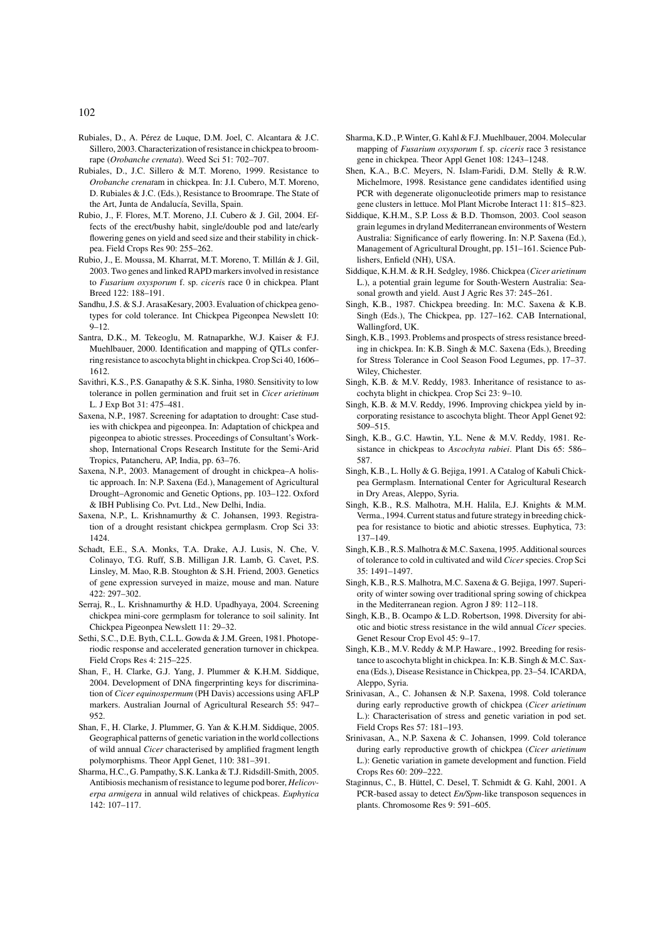- Rubiales, D., A. Pérez de Luque, D.M. Joel, C. Alcantara & J.C. Sillero, 2003. Characterization of resistance in chickpea to broomrape (*Orobanche crenata*). Weed Sci 51: 702–707.
- Rubiales, D., J.C. Sillero & M.T. Moreno, 1999. Resistance to *Orobanche crenat*am in chickpea. In: J.I. Cubero, M.T. Moreno, D. Rubiales & J.C. (Eds.), Resistance to Broomrape. The State of the Art, Junta de Andalucía, Sevilla, Spain.
- Rubio, J., F. Flores, M.T. Moreno, J.I. Cubero & J. Gil, 2004. Effects of the erect/bushy habit, single/double pod and late/early flowering genes on yield and seed size and their stability in chickpea. Field Crops Res 90: 255–262.
- Rubio, J., E. Moussa, M. Kharrat, M.T. Moreno, T. Millán & J. Gil, 2003. Two genes and linked RAPD markers involved in resistance to *Fusarium oxysporum* f. sp. *ciceri*s race 0 in chickpea. Plant Breed 122: 188–191.
- Sandhu, J.S. & S.J. ArasaKesary, 2003. Evaluation of chickpea genotypes for cold tolerance. Int Chickpea Pigeonpea Newslett 10:  $9 - 12$
- Santra, D.K., M. Tekeoglu, M. Ratnaparkhe, W.J. Kaiser & F.J. Muehlbauer, 2000. Identification and mapping of QTLs conferring resistance to ascochyta blight in chickpea. Crop Sci 40, 1606– 1612.
- Savithri, K.S., P.S. Ganapathy & S.K. Sinha, 1980. Sensitivity to low tolerance in pollen germination and fruit set in *Cicer arietinum* L. J Exp Bot 31: 475–481.
- Saxena, N.P., 1987. Screening for adaptation to drought: Case studies with chickpea and pigeonpea. In: Adaptation of chickpea and pigeonpea to abiotic stresses. Proceedings of Consultant's Workshop, International Crops Research Institute for the Semi-Arid Tropics, Patancheru, AP, India, pp. 63–76.
- Saxena, N.P., 2003. Management of drought in chickpea–A holistic approach. In: N.P. Saxena (Ed.), Management of Agricultural Drought–Agronomic and Genetic Options, pp. 103–122. Oxford & IBH Publising Co. Pvt. Ltd., New Delhi, India.
- Saxena, N.P., L. Krishnamurthy & C. Johansen, 1993. Registration of a drought resistant chickpea germplasm. Crop Sci 33: 1424.
- Schadt, E.E., S.A. Monks, T.A. Drake, A.J. Lusis, N. Che, V. Colinayo, T.G. Ruff, S.B. Milligan J.R. Lamb, G. Cavet, P.S. Linsley, M. Mao, R.B. Stoughton & S.H. Friend, 2003. Genetics of gene expression surveyed in maize, mouse and man. Nature 422: 297–302.
- Serraj, R., L. Krishnamurthy & H.D. Upadhyaya, 2004. Screening chickpea mini-core germplasm for tolerance to soil salinity. Int Chickpea Pigeonpea Newslett 11: 29–32.
- Sethi, S.C., D.E. Byth, C.L.L. Gowda & J.M. Green, 1981. Photoperiodic response and accelerated generation turnover in chickpea. Field Crops Res 4: 215–225.
- Shan, F., H. Clarke, G.J. Yang, J. Plummer & K.H.M. Siddique, 2004. Development of DNA fingerprinting keys for discrimination of *Cicer equinospermum* (PH Davis) accessions using AFLP markers. Australian Journal of Agricultural Research 55: 947– 952.
- Shan, F., H. Clarke, J. Plummer, G. Yan & K.H.M. Siddique, 2005. Geographical patterns of genetic variation in the world collections of wild annual *Cicer* characterised by amplified fragment length polymorphisms. Theor Appl Genet, 110: 381–391.
- Sharma, H.C., G. Pampathy, S.K. Lanka & T.J. Ridsdill-Smith, 2005. Antibiosis mechanism of resistance to legume pod borer, *Helicoverpa armigera* in annual wild relatives of chickpeas. *Euphytica* 142: 107–117.
- Sharma, K.D., P. Winter, G. Kahl & F.J. Muehlbauer, 2004. Molecular mapping of *Fusarium oxysporum* f. sp. *ciceris* race 3 resistance gene in chickpea. Theor Appl Genet 108: 1243–1248.
- Shen, K.A., B.C. Meyers, N. Islam-Faridi, D.M. Stelly & R.W. Michelmore, 1998. Resistance gene candidates identified using PCR with degenerate oligonucleotide primers map to resistance gene clusters in lettuce. Mol Plant Microbe Interact 11: 815–823.
- Siddique, K.H.M., S.P. Loss & B.D. Thomson, 2003. Cool season grain legumes in dryland Mediterranean environments of Western Australia: Significance of early flowering. In: N.P. Saxena (Ed.), Management of Agricultural Drought, pp. 151–161. Science Publishers, Enfield (NH), USA.
- Siddique, K.H.M. & R.H. Sedgley, 1986. Chickpea (*Cicer arietinum* L.), a potential grain legume for South-Western Australia: Seasonal growth and yield. Aust J Agric Res 37: 245–261.
- Singh, K.B., 1987. Chickpea breeding. In: M.C. Saxena & K.B. Singh (Eds.), The Chickpea, pp. 127–162. CAB International, Wallingford, UK.
- Singh, K.B., 1993. Problems and prospects of stress resistance breeding in chickpea. In: K.B. Singh & M.C. Saxena (Eds.), Breeding for Stress Tolerance in Cool Season Food Legumes, pp. 17–37. Wiley, Chichester.
- Singh, K.B. & M.V. Reddy, 1983. Inheritance of resistance to ascochyta blight in chickpea. Crop Sci 23: 9–10.
- Singh, K.B. & M.V. Reddy, 1996. Improving chickpea yield by incorporating resistance to ascochyta blight. Theor Appl Genet 92: 509–515.
- Singh, K.B., G.C. Hawtin, Y.L. Nene & M.V. Reddy, 1981. Resistance in chickpeas to *Ascochyta rabiei*. Plant Dis 65: 586– 587.
- Singh, K.B., L. Holly & G. Bejiga, 1991. A Catalog of Kabuli Chickpea Germplasm. International Center for Agricultural Research in Dry Areas, Aleppo, Syria.
- Singh, K.B., R.S. Malhotra, M.H. Halila, E.J. Knights & M.M. Verma., 1994. Current status and future strategy in breeding chickpea for resistance to biotic and abiotic stresses. Euphytica, 73: 137–149.
- Singh, K.B., R.S. Malhotra & M.C. Saxena, 1995. Additional sources of tolerance to cold in cultivated and wild *Cicer* species. Crop Sci 35: 1491–1497.
- Singh, K.B., R.S. Malhotra, M.C. Saxena & G. Bejiga, 1997. Superiority of winter sowing over traditional spring sowing of chickpea in the Mediterranean region. Agron J 89: 112–118.
- Singh, K.B., B. Ocampo & L.D. Robertson, 1998. Diversity for abiotic and biotic stress resistance in the wild annual *Cicer* species. Genet Resour Crop Evol 45: 9–17.
- Singh, K.B., M.V. Reddy & M.P. Haware., 1992. Breeding for resistance to ascochyta blight in chickpea. In: K.B. Singh & M.C. Saxena (Eds.), Disease Resistance in Chickpea, pp. 23–54. ICARDA, Aleppo, Syria.
- Srinivasan, A., C. Johansen & N.P. Saxena, 1998. Cold tolerance during early reproductive growth of chickpea (*Cicer arietinum* L.): Characterisation of stress and genetic variation in pod set. Field Crops Res 57: 181–193.
- Srinivasan, A., N.P. Saxena & C. Johansen, 1999. Cold tolerance during early reproductive growth of chickpea (*Cicer arietinum* L.): Genetic variation in gamete development and function. Field Crops Res 60: 209–222.
- Staginnus, C., B. Hüttel, C. Desel, T. Schmidt & G. Kahl, 2001. A PCR-based assay to detect *En/Spm*-like transposon sequences in plants. Chromosome Res 9: 591–605.